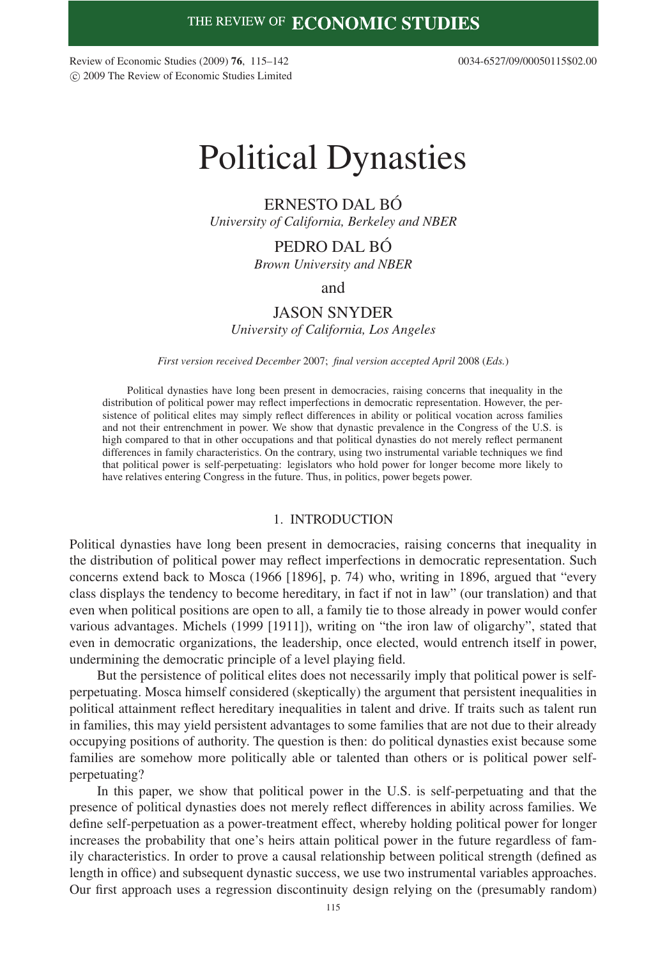Review of Economic Studies (2009) **76**, 115–142 0034-6527/09/00050115\$02.00 c 2009 The Review of Economic Studies Limited

# Political Dynasties

# ERNESTO DAL BÓ

*University of California, Berkeley and NBER*

# PEDRO DAL BÓ

*Brown University and NBER*

# and

# JASON SNYDER

*University of California, Los Angeles*

*First version received December* 2007; *final version accepted April* 2008 (*Eds.*)

Political dynasties have long been present in democracies, raising concerns that inequality in the distribution of political power may reflect imperfections in democratic representation. However, the persistence of political elites may simply reflect differences in ability or political vocation across families and not their entrenchment in power. We show that dynastic prevalence in the Congress of the U.S. is high compared to that in other occupations and that political dynasties do not merely reflect permanent differences in family characteristics. On the contrary, using two instrumental variable techniques we find that political power is self-perpetuating: legislators who hold power for longer become more likely to have relatives entering Congress in the future. Thus, in politics, power begets power.

# 1. INTRODUCTION

Political dynasties have long been present in democracies, raising concerns that inequality in the distribution of political power may reflect imperfections in democratic representation. Such concerns extend back to Mosca (1966 [1896], p. 74) who, writing in 1896, argued that "every class displays the tendency to become hereditary, in fact if not in law" (our translation) and that even when political positions are open to all, a family tie to those already in power would confer various advantages. Michels (1999 [1911]), writing on "the iron law of oligarchy", stated that even in democratic organizations, the leadership, once elected, would entrench itself in power, undermining the democratic principle of a level playing field.

But the persistence of political elites does not necessarily imply that political power is selfperpetuating. Mosca himself considered (skeptically) the argument that persistent inequalities in political attainment reflect hereditary inequalities in talent and drive. If traits such as talent run in families, this may yield persistent advantages to some families that are not due to their already occupying positions of authority. The question is then: do political dynasties exist because some families are somehow more politically able or talented than others or is political power selfperpetuating?

In this paper, we show that political power in the U.S. is self-perpetuating and that the presence of political dynasties does not merely reflect differences in ability across families. We define self-perpetuation as a power-treatment effect, whereby holding political power for longer increases the probability that one's heirs attain political power in the future regardless of family characteristics. In order to prove a causal relationship between political strength (defined as length in office) and subsequent dynastic success, we use two instrumental variables approaches. Our first approach uses a regression discontinuity design relying on the (presumably random)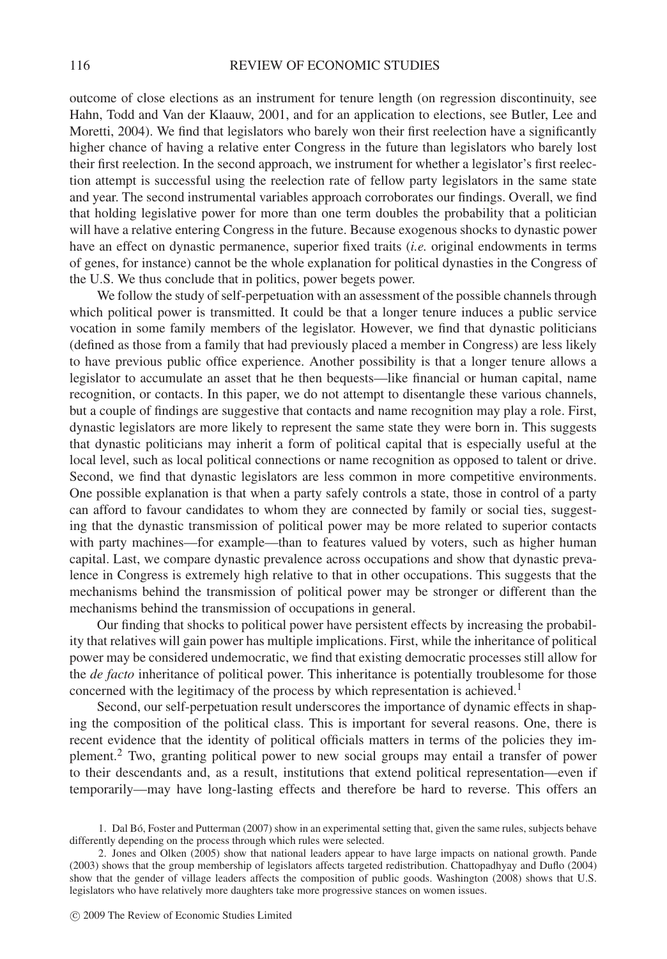outcome of close elections as an instrument for tenure length (on regression discontinuity, see Hahn, Todd and Van der Klaauw, 2001, and for an application to elections, see Butler, Lee and Moretti, 2004). We find that legislators who barely won their first reelection have a significantly higher chance of having a relative enter Congress in the future than legislators who barely lost their first reelection. In the second approach, we instrument for whether a legislator's first reelection attempt is successful using the reelection rate of fellow party legislators in the same state and year. The second instrumental variables approach corroborates our findings. Overall, we find that holding legislative power for more than one term doubles the probability that a politician will have a relative entering Congress in the future. Because exogenous shocks to dynastic power have an effect on dynastic permanence, superior fixed traits (*i.e.* original endowments in terms of genes, for instance) cannot be the whole explanation for political dynasties in the Congress of the U.S. We thus conclude that in politics, power begets power.

We follow the study of self-perpetuation with an assessment of the possible channels through which political power is transmitted. It could be that a longer tenure induces a public service vocation in some family members of the legislator. However, we find that dynastic politicians (defined as those from a family that had previously placed a member in Congress) are less likely to have previous public office experience. Another possibility is that a longer tenure allows a legislator to accumulate an asset that he then bequests—like financial or human capital, name recognition, or contacts. In this paper, we do not attempt to disentangle these various channels, but a couple of findings are suggestive that contacts and name recognition may play a role. First, dynastic legislators are more likely to represent the same state they were born in. This suggests that dynastic politicians may inherit a form of political capital that is especially useful at the local level, such as local political connections or name recognition as opposed to talent or drive. Second, we find that dynastic legislators are less common in more competitive environments. One possible explanation is that when a party safely controls a state, those in control of a party can afford to favour candidates to whom they are connected by family or social ties, suggesting that the dynastic transmission of political power may be more related to superior contacts with party machines—for example—than to features valued by voters, such as higher human capital. Last, we compare dynastic prevalence across occupations and show that dynastic prevalence in Congress is extremely high relative to that in other occupations. This suggests that the mechanisms behind the transmission of political power may be stronger or different than the mechanisms behind the transmission of occupations in general.

Our finding that shocks to political power have persistent effects by increasing the probability that relatives will gain power has multiple implications. First, while the inheritance of political power may be considered undemocratic, we find that existing democratic processes still allow for the *de facto* inheritance of political power. This inheritance is potentially troublesome for those concerned with the legitimacy of the process by which representation is achieved.<sup>1</sup>

Second, our self-perpetuation result underscores the importance of dynamic effects in shaping the composition of the political class. This is important for several reasons. One, there is recent evidence that the identity of political officials matters in terms of the policies they implement.2 Two, granting political power to new social groups may entail a transfer of power to their descendants and, as a result, institutions that extend political representation—even if temporarily—may have long-lasting effects and therefore be hard to reverse. This offers an

<sup>1.</sup> Dal Bó, Foster and Putterman (2007) show in an experimental setting that, given the same rules, subjects behave differently depending on the process through which rules were selected.

<sup>2.</sup> Jones and Olken (2005) show that national leaders appear to have large impacts on national growth. Pande (2003) shows that the group membership of legislators affects targeted redistribution. Chattopadhyay and Duflo (2004) show that the gender of village leaders affects the composition of public goods. Washington (2008) shows that U.S. legislators who have relatively more daughters take more progressive stances on women issues.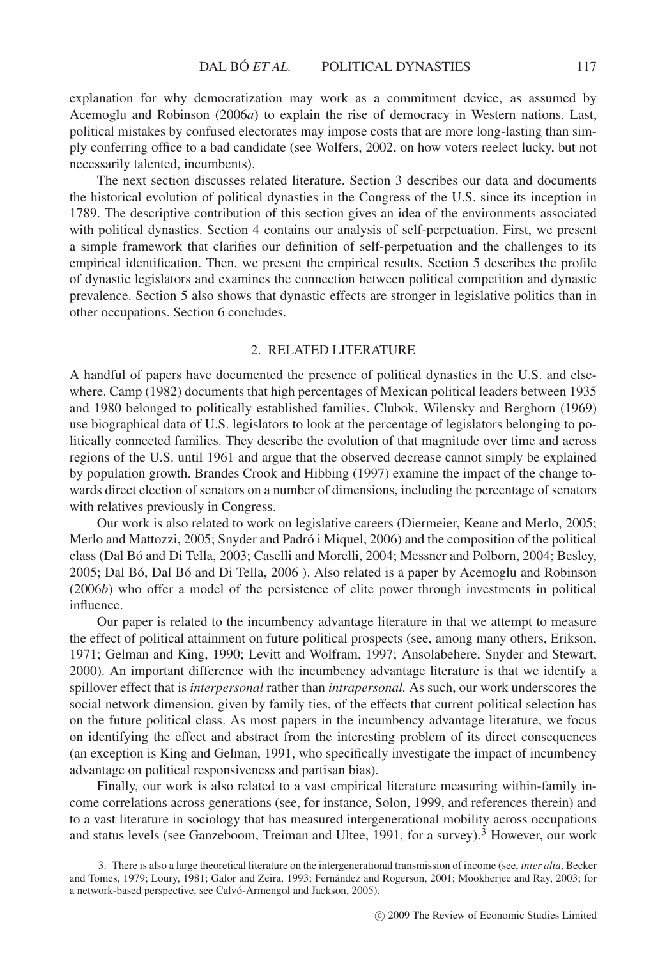explanation for why democratization may work as a commitment device, as assumed by Acemoglu and Robinson (2006*a*) to explain the rise of democracy in Western nations. Last, political mistakes by confused electorates may impose costs that are more long-lasting than simply conferring office to a bad candidate (see Wolfers, 2002, on how voters reelect lucky, but not necessarily talented, incumbents).

The next section discusses related literature. Section 3 describes our data and documents the historical evolution of political dynasties in the Congress of the U.S. since its inception in 1789. The descriptive contribution of this section gives an idea of the environments associated with political dynasties. Section 4 contains our analysis of self-perpetuation. First, we present a simple framework that clarifies our definition of self-perpetuation and the challenges to its empirical identification. Then, we present the empirical results. Section 5 describes the profile of dynastic legislators and examines the connection between political competition and dynastic prevalence. Section 5 also shows that dynastic effects are stronger in legislative politics than in other occupations. Section 6 concludes.

# 2. RELATED LITERATURE

A handful of papers have documented the presence of political dynasties in the U.S. and elsewhere. Camp (1982) documents that high percentages of Mexican political leaders between 1935 and 1980 belonged to politically established families. Clubok, Wilensky and Berghorn (1969) use biographical data of U.S. legislators to look at the percentage of legislators belonging to politically connected families. They describe the evolution of that magnitude over time and across regions of the U.S. until 1961 and argue that the observed decrease cannot simply be explained by population growth. Brandes Crook and Hibbing (1997) examine the impact of the change towards direct election of senators on a number of dimensions, including the percentage of senators with relatives previously in Congress.

Our work is also related to work on legislative careers (Diermeier, Keane and Merlo, 2005; Merlo and Mattozzi, 2005; Snyder and Padró i Miquel, 2006) and the composition of the political class (Dal Bó and Di Tella, 2003; Caselli and Morelli, 2004; Messner and Polborn, 2004; Besley, 2005; Dal Bó, Dal Bó and Di Tella, 2006 ). Also related is a paper by Acemoglu and Robinson (2006*b*) who offer a model of the persistence of elite power through investments in political influence.

Our paper is related to the incumbency advantage literature in that we attempt to measure the effect of political attainment on future political prospects (see, among many others, Erikson, 1971; Gelman and King, 1990; Levitt and Wolfram, 1997; Ansolabehere, Snyder and Stewart, 2000). An important difference with the incumbency advantage literature is that we identify a spillover effect that is *interpersonal* rather than *intrapersonal.* As such, our work underscores the social network dimension, given by family ties, of the effects that current political selection has on the future political class. As most papers in the incumbency advantage literature, we focus on identifying the effect and abstract from the interesting problem of its direct consequences (an exception is King and Gelman, 1991, who specifically investigate the impact of incumbency advantage on political responsiveness and partisan bias).

Finally, our work is also related to a vast empirical literature measuring within-family income correlations across generations (see, for instance, Solon, 1999, and references therein) and to a vast literature in sociology that has measured intergenerational mobility across occupations and status levels (see Ganzeboom, Treiman and Ultee, 1991, for a survey).<sup>3</sup> However, our work

<sup>3.</sup> There is also a large theoretical literature on the intergenerational transmission of income (see, *inter alia*, Becker and Tomes, 1979; Loury, 1981; Galor and Zeira, 1993; Fernández and Rogerson, 2001; Mookherjee and Ray, 2003; for a network-based perspective, see Calvó-Armengol and Jackson, 2005).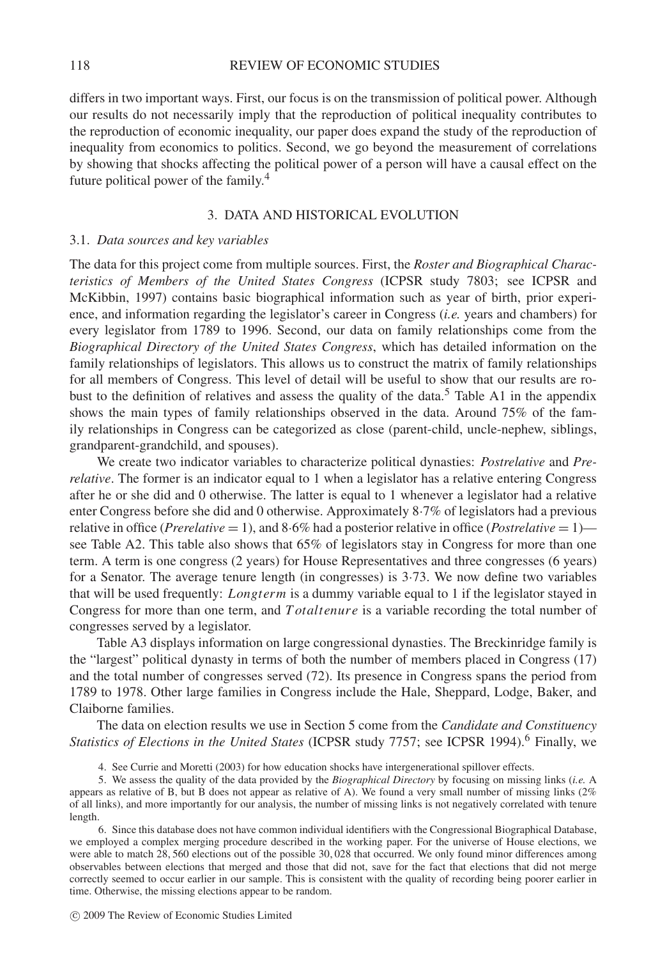differs in two important ways. First, our focus is on the transmission of political power. Although our results do not necessarily imply that the reproduction of political inequality contributes to the reproduction of economic inequality, our paper does expand the study of the reproduction of inequality from economics to politics. Second, we go beyond the measurement of correlations by showing that shocks affecting the political power of a person will have a causal effect on the future political power of the family.4

# 3. DATA AND HISTORICAL EVOLUTION

# 3.1. *Data sources and key variables*

The data for this project come from multiple sources. First, the *Roster and Biographical Characteristics of Members of the United States Congress* (ICPSR study 7803; see ICPSR and McKibbin, 1997) contains basic biographical information such as year of birth, prior experience, and information regarding the legislator's career in Congress (*i.e.* years and chambers) for every legislator from 1789 to 1996. Second, our data on family relationships come from the *Biographical Directory of the United States Congress*, which has detailed information on the family relationships of legislators. This allows us to construct the matrix of family relationships for all members of Congress. This level of detail will be useful to show that our results are robust to the definition of relatives and assess the quality of the data.<sup>5</sup> Table A1 in the appendix shows the main types of family relationships observed in the data. Around 75% of the family relationships in Congress can be categorized as close (parent-child, uncle-nephew, siblings, grandparent-grandchild, and spouses).

We create two indicator variables to characterize political dynasties: *Postrelative* and *Prerelative*. The former is an indicator equal to 1 when a legislator has a relative entering Congress after he or she did and 0 otherwise. The latter is equal to 1 whenever a legislator had a relative enter Congress before she did and 0 otherwise. Approximately 8·7% of legislators had a previous relative in office (*Prerelative* = 1), and 8.6% had a posterior relative in office (*Postrelative* = 1) see Table A2. This table also shows that 65% of legislators stay in Congress for more than one term. A term is one congress (2 years) for House Representatives and three congresses (6 years) for a Senator. The average tenure length (in congresses) is 3·73. We now define two variables that will be used frequently: *Longterm* is a dummy variable equal to 1 if the legislator stayed in Congress for more than one term, and *T otaltenure* is a variable recording the total number of congresses served by a legislator.

Table A3 displays information on large congressional dynasties. The Breckinridge family is the "largest" political dynasty in terms of both the number of members placed in Congress (17) and the total number of congresses served (72). Its presence in Congress spans the period from 1789 to 1978. Other large families in Congress include the Hale, Sheppard, Lodge, Baker, and Claiborne families.

The data on election results we use in Section 5 come from the *Candidate and Constituency Statistics of Elections in the United States* (ICPSR study 7757; see ICPSR 1994).<sup>6</sup> Finally, we

4. See Currie and Moretti (2003) for how education shocks have intergenerational spillover effects.

5. We assess the quality of the data provided by the *Biographical Directory* by focusing on missing links (*i.e.* A appears as relative of B, but B does not appear as relative of A). We found a very small number of missing links (2% of all links), and more importantly for our analysis, the number of missing links is not negatively correlated with tenure length.

6. Since this database does not have common individual identifiers with the Congressional Biographical Database, we employed a complex merging procedure described in the working paper. For the universe of House elections, we were able to match 28,560 elections out of the possible 30,028 that occurred. We only found minor differences among observables between elections that merged and those that did not, save for the fact that elections that did not merge correctly seemed to occur earlier in our sample. This is consistent with the quality of recording being poorer earlier in time. Otherwise, the missing elections appear to be random.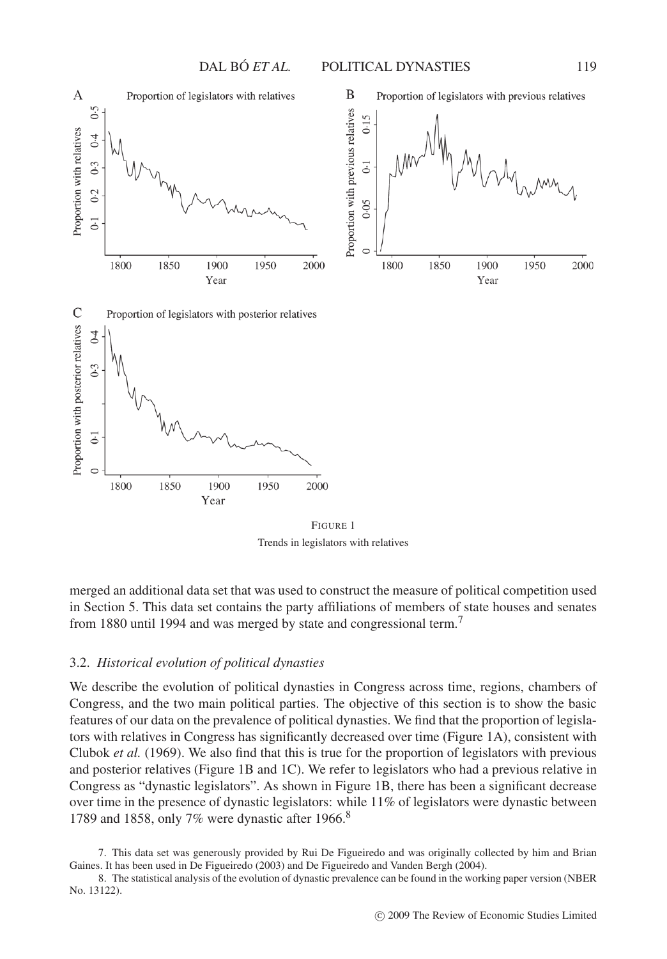

Trends in legislators with relatives

merged an additional data set that was used to construct the measure of political competition used in Section 5. This data set contains the party affiliations of members of state houses and senates from 1880 until 1994 and was merged by state and congressional term.<sup>7</sup>

# 3.2. *Historical evolution of political dynasties*

We describe the evolution of political dynasties in Congress across time, regions, chambers of Congress, and the two main political parties. The objective of this section is to show the basic features of our data on the prevalence of political dynasties. We find that the proportion of legislators with relatives in Congress has significantly decreased over time (Figure 1A), consistent with Clubok *et al.* (1969). We also find that this is true for the proportion of legislators with previous and posterior relatives (Figure 1B and 1C). We refer to legislators who had a previous relative in Congress as "dynastic legislators". As shown in Figure 1B, there has been a significant decrease over time in the presence of dynastic legislators: while 11% of legislators were dynastic between 1789 and 1858, only 7% were dynastic after 1966.<sup>8</sup>

<sup>7.</sup> This data set was generously provided by Rui De Figueiredo and was originally collected by him and Brian Gaines. It has been used in De Figueiredo (2003) and De Figueiredo and Vanden Bergh (2004).

<sup>8.</sup> The statistical analysis of the evolution of dynastic prevalence can be found in the working paper version (NBER No. 13122).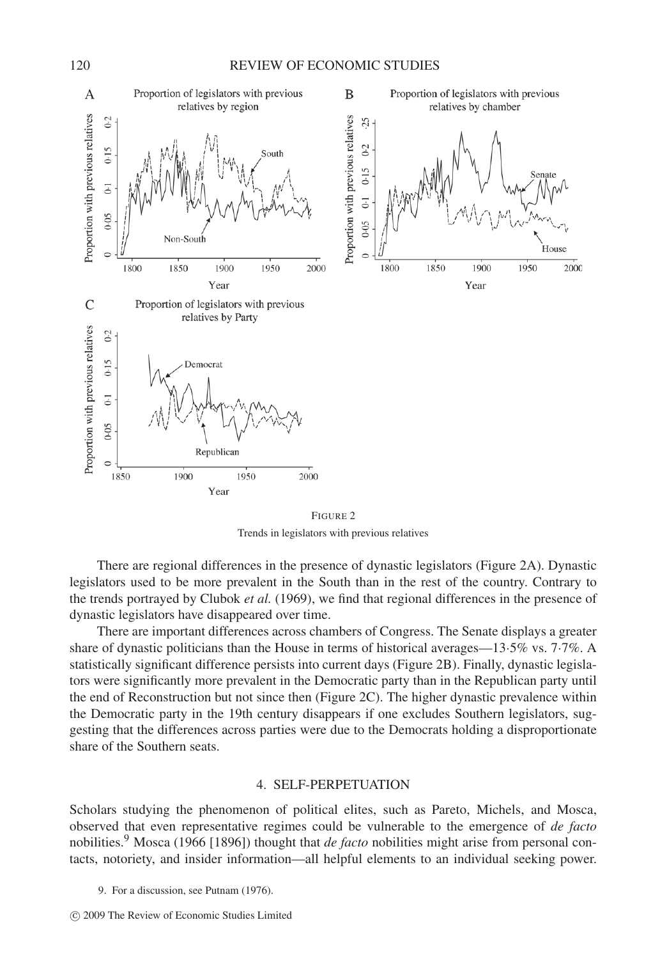



FIGURE 2 Trends in legislators with previous relatives

There are regional differences in the presence of dynastic legislators (Figure 2A). Dynastic legislators used to be more prevalent in the South than in the rest of the country. Contrary to the trends portrayed by Clubok *et al.* (1969), we find that regional differences in the presence of dynastic legislators have disappeared over time.

There are important differences across chambers of Congress. The Senate displays a greater share of dynastic politicians than the House in terms of historical averages—13·5% vs. 7·7%. A statistically significant difference persists into current days (Figure 2B). Finally, dynastic legislators were significantly more prevalent in the Democratic party than in the Republican party until the end of Reconstruction but not since then (Figure 2C). The higher dynastic prevalence within the Democratic party in the 19th century disappears if one excludes Southern legislators, suggesting that the differences across parties were due to the Democrats holding a disproportionate share of the Southern seats.

# 4. SELF-PERPETUATION

Scholars studying the phenomenon of political elites, such as Pareto, Michels, and Mosca, observed that even representative regimes could be vulnerable to the emergence of *de facto* nobilities.9 Mosca (1966 [1896]) thought that *de facto* nobilities might arise from personal contacts, notoriety, and insider information—all helpful elements to an individual seeking power.

- 9. For a discussion, see Putnam (1976).
- c 2009 The Review of Economic Studies Limited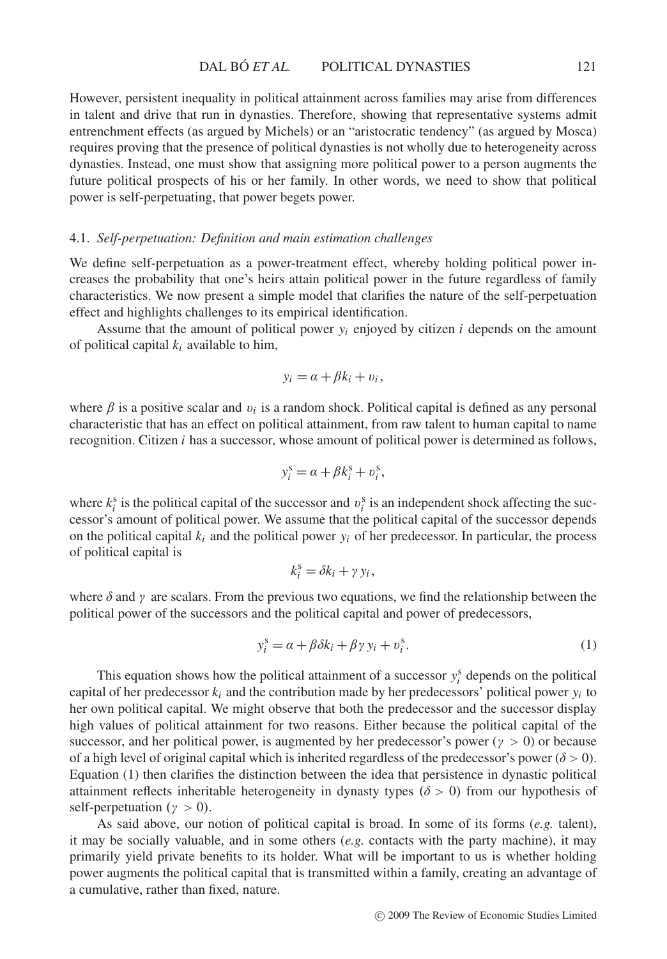However, persistent inequality in political attainment across families may arise from differences in talent and drive that run in dynasties. Therefore, showing that representative systems admit entrenchment effects (as argued by Michels) or an "aristocratic tendency" (as argued by Mosca) requires proving that the presence of political dynasties is not wholly due to heterogeneity across dynasties. Instead, one must show that assigning more political power to a person augments the future political prospects of his or her family. In other words, we need to show that political power is self-perpetuating, that power begets power.

## 4.1. *Self-perpetuation: Definition and main estimation challenges*

We define self-perpetuation as a power-treatment effect, whereby holding political power increases the probability that one's heirs attain political power in the future regardless of family characteristics. We now present a simple model that clarifies the nature of the self-perpetuation effect and highlights challenges to its empirical identification.

Assume that the amount of political power  $y_i$  enjoyed by citizen  $i$  depends on the amount of political capital *ki* available to him,

$$
y_i = \alpha + \beta k_i + v_i,
$$

where  $\beta$  is a positive scalar and  $v_i$  is a random shock. Political capital is defined as any personal characteristic that has an effect on political attainment, from raw talent to human capital to name recognition. Citizen *i* has a successor, whose amount of political power is determined as follows,

$$
y_i^s = \alpha + \beta k_i^s + v_i^s,
$$

where  $k_i^s$  is the political capital of the successor and  $v_i^s$  is an independent shock affecting the successor's amount of political power. We assume that the political capital of the successor depends on the political capital  $k_i$  and the political power  $y_i$  of her predecessor. In particular, the process of political capital is

$$
k_i^{\rm s} = \delta k_i + \gamma y_i,
$$

where  $\delta$  and  $\gamma$  are scalars. From the previous two equations, we find the relationship between the political power of the successors and the political capital and power of predecessors,

$$
y_i^s = \alpha + \beta \delta k_i + \beta \gamma y_i + v_i^s. \tag{1}
$$

This equation shows how the political attainment of a successor  $y_i^s$  depends on the political capital of her predecessor  $k_i$  and the contribution made by her predecessors' political power  $y_i$  to her own political capital. We might observe that both the predecessor and the successor display high values of political attainment for two reasons. Either because the political capital of the successor, and her political power, is augmented by her predecessor's power ( $\gamma > 0$ ) or because of a high level of original capital which is inherited regardless of the predecessor's power ( $\delta$  > 0). Equation (1) then clarifies the distinction between the idea that persistence in dynastic political attainment reflects inheritable heterogeneity in dynasty types ( $\delta > 0$ ) from our hypothesis of self-perpetuation ( $\gamma > 0$ ).

As said above, our notion of political capital is broad. In some of its forms (*e.g.* talent), it may be socially valuable, and in some others (*e.g.* contacts with the party machine), it may primarily yield private benefits to its holder. What will be important to us is whether holding power augments the political capital that is transmitted within a family, creating an advantage of a cumulative, rather than fixed, nature.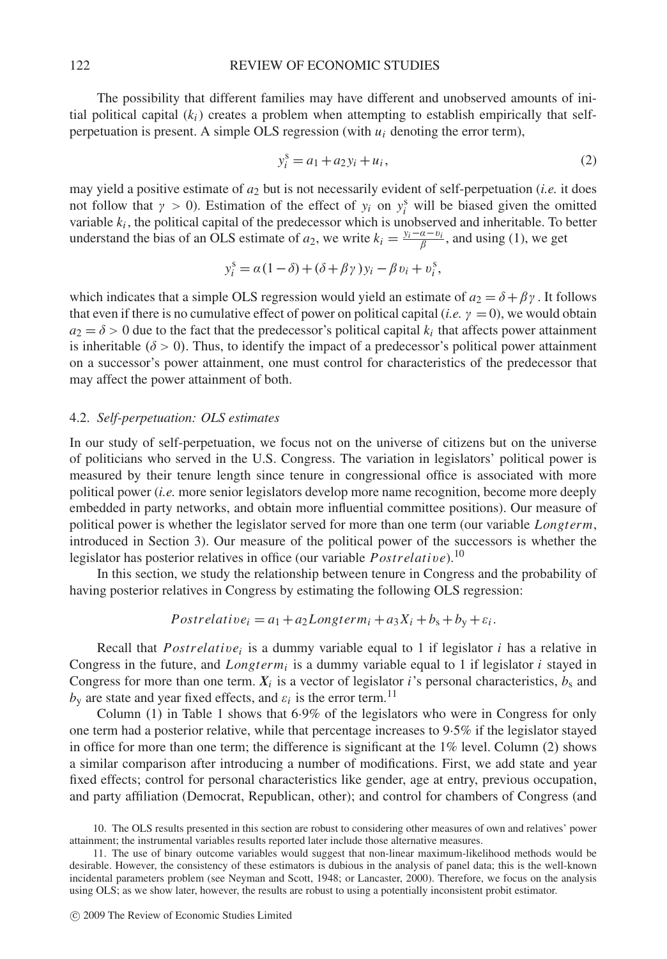The possibility that different families may have different and unobserved amounts of initial political capital  $(k<sub>i</sub>)$  creates a problem when attempting to establish empirically that selfperpetuation is present. A simple OLS regression (with  $u_i$  denoting the error term),

$$
y_i^s = a_1 + a_2 y_i + u_i,
$$
\n(2)

may yield a positive estimate of *a*<sup>2</sup> but is not necessarily evident of self-perpetuation (*i.e.* it does not follow that  $\gamma > 0$ ). Estimation of the effect of  $y_i$  on  $y_i^s$  will be biased given the omitted variable *ki* , the political capital of the predecessor which is unobserved and inheritable. To better understand the bias of an OLS estimate of *a*<sub>2</sub>, we write  $k_i = \frac{y_i - a - v_i}{\beta}$ , and using (1), we get

$$
y_i^s = \alpha (1 - \delta) + (\delta + \beta \gamma) y_i - \beta v_i + v_i^s,
$$

which indicates that a simple OLS regression would yield an estimate of  $a_2 = \delta + \beta \gamma$ . It follows that even if there is no cumulative effect of power on political capital (*i.e.*  $\gamma = 0$ ), we would obtain  $a_2 = \delta > 0$  due to the fact that the predecessor's political capital  $k_i$  that affects power attainment is inheritable ( $\delta > 0$ ). Thus, to identify the impact of a predecessor's political power attainment on a successor's power attainment, one must control for characteristics of the predecessor that may affect the power attainment of both.

# 4.2. *Self-perpetuation: OLS estimates*

In our study of self-perpetuation, we focus not on the universe of citizens but on the universe of politicians who served in the U.S. Congress. The variation in legislators' political power is measured by their tenure length since tenure in congressional office is associated with more political power (*i.e.* more senior legislators develop more name recognition, become more deeply embedded in party networks, and obtain more influential committee positions). Our measure of political power is whether the legislator served for more than one term (our variable *Longterm*, introduced in Section 3). Our measure of the political power of the successors is whether the legislator has posterior relatives in office (our variable *Postrelati*v*e*).<sup>10</sup>

In this section, we study the relationship between tenure in Congress and the probability of having posterior relatives in Congress by estimating the following OLS regression:

$$
Postrelative_i = a_1 + a_2Longterm_i + a_3X_i + b_s + b_y + \varepsilon_i.
$$

Recall that *Postrelati*v*ei* is a dummy variable equal to 1 if legislator *i* has a relative in Congress in the future, and *Longterm*<sub>i</sub> is a dummy variable equal to 1 if legislator  $i$  stayed in Congress for more than one term.  $X_i$  is a vector of legislator *i*'s personal characteristics,  $b_s$  and  $b_v$  are state and year fixed effects, and  $\varepsilon_i$  is the error term.<sup>11</sup>

Column (1) in Table 1 shows that 6·9% of the legislators who were in Congress for only one term had a posterior relative, while that percentage increases to 9·5% if the legislator stayed in office for more than one term; the difference is significant at the  $1\%$  level. Column (2) shows a similar comparison after introducing a number of modifications. First, we add state and year fixed effects; control for personal characteristics like gender, age at entry, previous occupation, and party affiliation (Democrat, Republican, other); and control for chambers of Congress (and

<sup>10.</sup> The OLS results presented in this section are robust to considering other measures of own and relatives' power attainment; the instrumental variables results reported later include those alternative measures.

<sup>11.</sup> The use of binary outcome variables would suggest that non-linear maximum-likelihood methods would be desirable. However, the consistency of these estimators is dubious in the analysis of panel data; this is the well-known incidental parameters problem (see Neyman and Scott, 1948; or Lancaster, 2000). Therefore, we focus on the analysis using OLS; as we show later, however, the results are robust to using a potentially inconsistent probit estimator.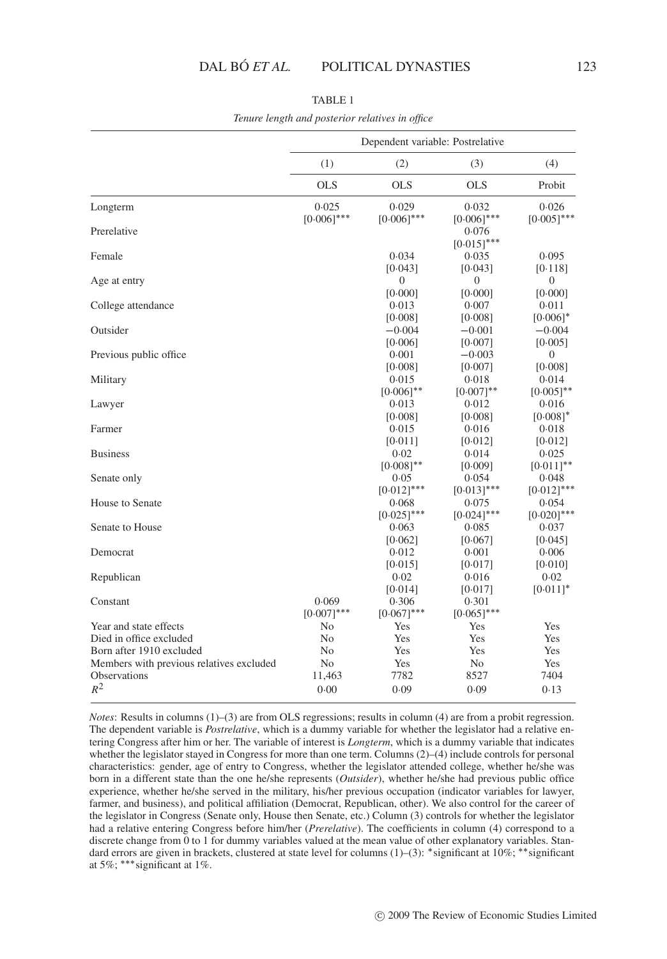|                                          |                        | Dependent variable: Postrelative |                             |                           |
|------------------------------------------|------------------------|----------------------------------|-----------------------------|---------------------------|
|                                          | (1)                    | (2)                              | (3)                         | (4)                       |
|                                          | <b>OLS</b>             | <b>OLS</b>                       | <b>OLS</b>                  | Probit                    |
| Longterm                                 | 0.025<br>$[0.006]$ *** | 0.029<br>$[0.006]$ ***           | 0.032<br>$[0.006]$ ***      | 0.026<br>$[0.005]$ ***    |
| Prerelative                              |                        |                                  | 0.076<br>$[0.015]$ ***      |                           |
| Female                                   |                        | 0.034<br>[0.043]                 | 0.035<br>[0.043]            | 0.095<br>[0.118]          |
| Age at entry                             |                        | $\overline{0}$<br>[0.000]        | $\boldsymbol{0}$<br>[0.000] | 0<br>[0.000]              |
| College attendance                       |                        | 0.013<br>[0.008]                 | 0.007<br>[0.008]            | 0.011<br>$[0.006]$ *      |
| Outsider                                 |                        | $-0.004$<br>[0.006]              | $-0.001$<br>[0.007]         | $-0.004$<br>[0.005]       |
| Previous public office                   |                        | 0.001<br>[0.008]                 | $-0.003$<br>[0.007]         | $\overline{0}$<br>[0.008] |
| Military                                 |                        | 0.015<br>$[0.006]$ **            | 0.018<br>$[0.007]$ **       | 0.014<br>$[0.005]$ **     |
| Lawyer                                   |                        | 0.013<br>[0.008]                 | 0.012<br>[0.008]            | 0.016<br>$[0.008]$ *      |
| Farmer                                   |                        | 0.015<br>[0.011]                 | 0.016<br>[0.012]            | 0.018<br>[0.012]          |
| <b>Business</b>                          |                        | 0.02<br>$[0.008]$ **             | 0.014<br>[0.009]            | 0.025<br>$[0.011]$ **     |
| Senate only                              |                        | 0.05<br>$[0.012]$ ***            | 0.054<br>$[0.013]$ ***      | 0.048<br>$[0.012]$ ***    |
| House to Senate                          |                        | 0.068<br>$[0.025]$ ***           | 0.075<br>$[0.024]$ ***      | 0.054<br>$[0.020]$ ***    |
| Senate to House                          |                        | 0.063<br>[0.062]                 | 0.085<br>[0.067]            | 0.037<br>[0.045]          |
| Democrat                                 |                        | 0.012<br>[0.015]                 | 0.001<br>[0.017]            | 0.006<br>[0.010]          |
| Republican                               |                        | 0.02<br>[0.014]                  | 0.016<br>[0.017]            | 0.02<br>$[0.011]$ *       |
| Constant                                 | 0.069<br>$[0.007]$ *** | 0.306<br>$[0.067]$ ***           | 0.301<br>$[0.065]$ ***      |                           |
| Year and state effects                   | No                     | Yes                              | Yes                         | Yes                       |
| Died in office excluded                  | No                     | Yes                              | Yes                         | Yes                       |
| Born after 1910 excluded                 | No                     | Yes                              | Yes                         | Yes                       |
| Members with previous relatives excluded | No                     | Yes                              | N <sub>0</sub>              | Yes                       |
| <b>Observations</b>                      | 11,463                 | 7782                             | 8527                        | 7404                      |
| $R^2$                                    | 0.00                   | 0.09                             | 0.09                        | 0.13                      |

*Tenure length and posterior relatives in office*

*Notes*: Results in columns (1)–(3) are from OLS regressions; results in column (4) are from a probit regression. The dependent variable is *Postrelative*, which is a dummy variable for whether the legislator had a relative entering Congress after him or her. The variable of interest is *Longterm*, which is a dummy variable that indicates whether the legislator stayed in Congress for more than one term. Columns (2)–(4) include controls for personal characteristics: gender, age of entry to Congress, whether the legislator attended college, whether he/she was born in a different state than the one he/she represents (*Outsider*), whether he/she had previous public office experience, whether he/she served in the military, his/her previous occupation (indicator variables for lawyer, farmer, and business), and political affiliation (Democrat, Republican, other). We also control for the career of the legislator in Congress (Senate only, House then Senate, etc.) Column (3) controls for whether the legislator had a relative entering Congress before him/her (*Prerelative*). The coefficients in column (4) correspond to a discrete change from 0 to 1 for dummy variables valued at the mean value of other explanatory variables. Standard errors are given in brackets, clustered at state level for columns (1)–(3): ∗significant at 10%; ∗∗significant at 5%; ∗∗∗significant at 1%.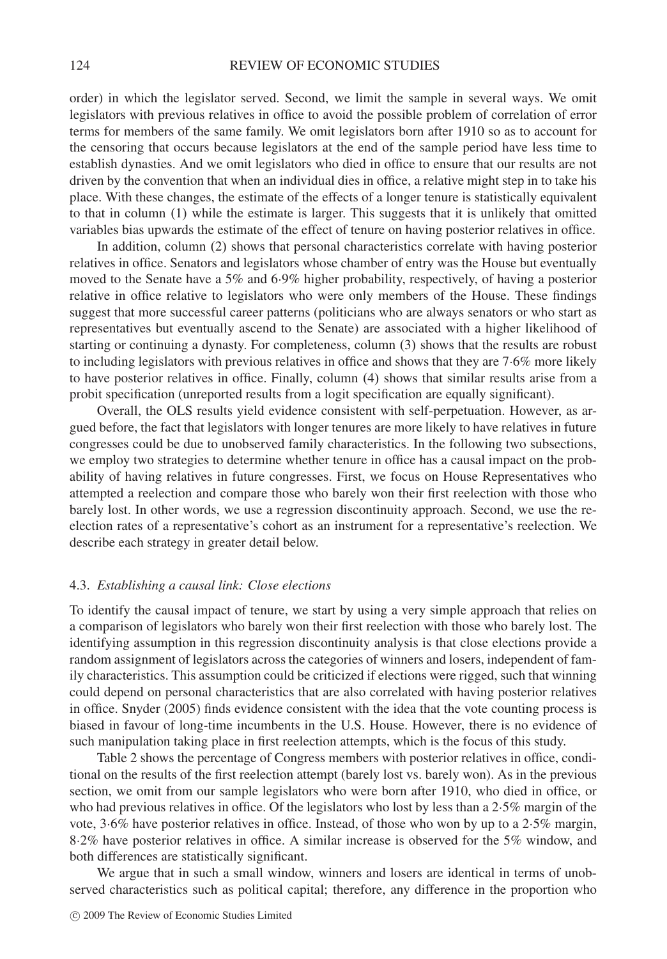order) in which the legislator served. Second, we limit the sample in several ways. We omit legislators with previous relatives in office to avoid the possible problem of correlation of error terms for members of the same family. We omit legislators born after 1910 so as to account for the censoring that occurs because legislators at the end of the sample period have less time to establish dynasties. And we omit legislators who died in office to ensure that our results are not driven by the convention that when an individual dies in office, a relative might step in to take his place. With these changes, the estimate of the effects of a longer tenure is statistically equivalent to that in column (1) while the estimate is larger. This suggests that it is unlikely that omitted variables bias upwards the estimate of the effect of tenure on having posterior relatives in office.

In addition, column (2) shows that personal characteristics correlate with having posterior relatives in office. Senators and legislators whose chamber of entry was the House but eventually moved to the Senate have a 5% and 6·9% higher probability, respectively, of having a posterior relative in office relative to legislators who were only members of the House. These findings suggest that more successful career patterns (politicians who are always senators or who start as representatives but eventually ascend to the Senate) are associated with a higher likelihood of starting or continuing a dynasty. For completeness, column (3) shows that the results are robust to including legislators with previous relatives in office and shows that they are 7·6% more likely to have posterior relatives in office. Finally, column (4) shows that similar results arise from a probit specification (unreported results from a logit specification are equally significant).

Overall, the OLS results yield evidence consistent with self-perpetuation. However, as argued before, the fact that legislators with longer tenures are more likely to have relatives in future congresses could be due to unobserved family characteristics. In the following two subsections, we employ two strategies to determine whether tenure in office has a causal impact on the probability of having relatives in future congresses. First, we focus on House Representatives who attempted a reelection and compare those who barely won their first reelection with those who barely lost. In other words, we use a regression discontinuity approach. Second, we use the reelection rates of a representative's cohort as an instrument for a representative's reelection. We describe each strategy in greater detail below.

# 4.3. *Establishing a causal link: Close elections*

To identify the causal impact of tenure, we start by using a very simple approach that relies on a comparison of legislators who barely won their first reelection with those who barely lost. The identifying assumption in this regression discontinuity analysis is that close elections provide a random assignment of legislators across the categories of winners and losers, independent of family characteristics. This assumption could be criticized if elections were rigged, such that winning could depend on personal characteristics that are also correlated with having posterior relatives in office. Snyder (2005) finds evidence consistent with the idea that the vote counting process is biased in favour of long-time incumbents in the U.S. House. However, there is no evidence of such manipulation taking place in first reelection attempts, which is the focus of this study.

Table 2 shows the percentage of Congress members with posterior relatives in office, conditional on the results of the first reelection attempt (barely lost vs. barely won). As in the previous section, we omit from our sample legislators who were born after 1910, who died in office, or who had previous relatives in office. Of the legislators who lost by less than a 2·5% margin of the vote, 3·6% have posterior relatives in office. Instead, of those who won by up to a 2·5% margin, 8·2% have posterior relatives in office. A similar increase is observed for the 5% window, and both differences are statistically significant.

We argue that in such a small window, winners and losers are identical in terms of unobserved characteristics such as political capital; therefore, any difference in the proportion who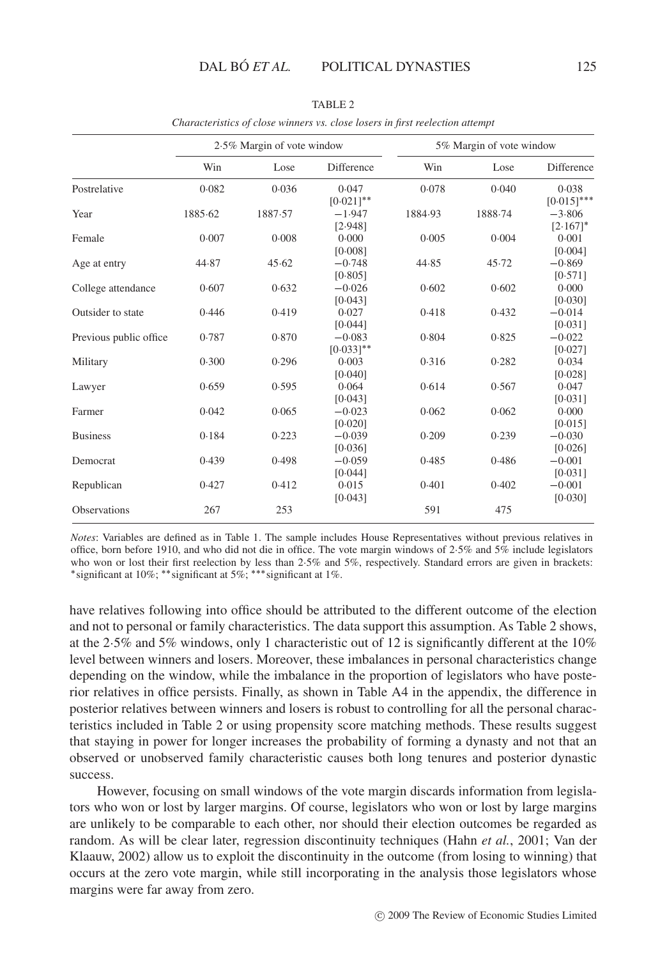|                        |         | 2.5% Margin of vote window |                                     |         | 5% Margin of vote window |                                          |  |
|------------------------|---------|----------------------------|-------------------------------------|---------|--------------------------|------------------------------------------|--|
|                        | Win     | Lose                       | Difference                          | Win     | Lose                     | Difference                               |  |
| Postrelative           | 0.082   | 0.036                      | 0.047                               | 0.078   | 0.040                    | 0.038                                    |  |
| Year                   | 1885.62 | 1887.57                    | $[0.021]$ **<br>$-1.947$<br>[2.948] | 1884.93 | 1888.74                  | $[0.015]$ ***<br>$-3.806$<br>$[2.167]$ * |  |
| Female                 | 0.007   | 0.008                      | 0.000                               | 0.005   | 0.004                    | 0.001                                    |  |
| Age at entry           | 44.87   | 45.62                      | [0.008]<br>$-0.748$                 | 44.85   | 45.72                    | [0.004]<br>$-0.869$                      |  |
| College attendance     | 0.607   | 0.632                      | [0.805]<br>$-0.026$                 | 0.602   | 0.602                    | [0.571]<br>0.000                         |  |
| Outsider to state      | 0.446   | 0.419                      | [0.043]<br>0.027                    | 0.418   | 0.432                    | [0.030]<br>$-0.014$                      |  |
| Previous public office | 0.787   | 0.870                      | [0.044]<br>$-0.083$                 | 0.804   | 0.825                    | [0.031]<br>$-0.022$                      |  |
| Military               | 0.300   | 0.296                      | $[0.033]^{**}$<br>0.003             | 0.316   | 0.282                    | [0.027]<br>0.034                         |  |
| Lawyer                 | 0.659   | 0.595                      | [0.040]<br>0.064                    | 0.614   | 0.567                    | [0.028]<br>0.047                         |  |
| Farmer                 | 0.042   | 0.065                      | [0.043]<br>$-0.023$                 | 0.062   | 0.062                    | [0.031]<br>0.000                         |  |
| <b>Business</b>        | 0.184   | 0.223                      | [0.020]<br>$-0.039$                 | 0.209   | 0.239                    | [0.015]<br>$-0.030$                      |  |
| Democrat               | 0.439   | 0.498                      | [0.036]<br>$-0.059$                 | 0.485   | 0.486                    | [0.026]<br>$-0.001$                      |  |
| Republican             | 0.427   | 0.412                      | [0.044]<br>0.015                    | 0.401   | 0.402                    | [0.031]<br>$-0.001$                      |  |
| Observations           | 267     | 253                        | [0.043]                             | 591     | 475                      | [0.030]                                  |  |

TABLE 2 *Characteristics of close winners vs. close losers in first reelection attempt*

*Notes*: Variables are defined as in Table 1. The sample includes House Representatives without previous relatives in office, born before 1910, and who did not die in office. The vote margin windows of 2·5% and 5% include legislators who won or lost their first reelection by less than 2·5% and 5%, respectively. Standard errors are given in brackets: \*significant at 10%; \*\*significant at 5%; \*\*\* significant at 1%.

have relatives following into office should be attributed to the different outcome of the election and not to personal or family characteristics. The data support this assumption. As Table 2 shows, at the 2·5% and 5% windows, only 1 characteristic out of 12 is significantly different at the 10% level between winners and losers. Moreover, these imbalances in personal characteristics change depending on the window, while the imbalance in the proportion of legislators who have posterior relatives in office persists. Finally, as shown in Table A4 in the appendix, the difference in posterior relatives between winners and losers is robust to controlling for all the personal characteristics included in Table 2 or using propensity score matching methods. These results suggest that staying in power for longer increases the probability of forming a dynasty and not that an observed or unobserved family characteristic causes both long tenures and posterior dynastic success.

However, focusing on small windows of the vote margin discards information from legislators who won or lost by larger margins. Of course, legislators who won or lost by large margins are unlikely to be comparable to each other, nor should their election outcomes be regarded as random. As will be clear later, regression discontinuity techniques (Hahn *et al.*, 2001; Van der Klaauw, 2002) allow us to exploit the discontinuity in the outcome (from losing to winning) that occurs at the zero vote margin, while still incorporating in the analysis those legislators whose margins were far away from zero.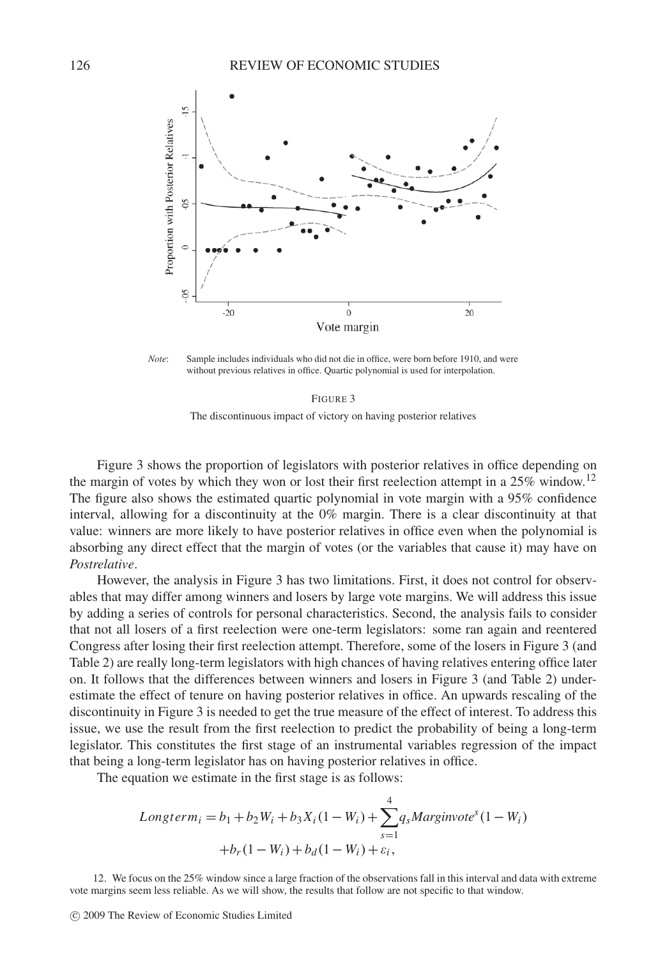

*Note*: Sample includes individuals who did not die in office, were born before 1910, and were without previous relatives in office. Quartic polynomial is used for interpolation.

|                                                                   | FIGURE 3 |  |  |
|-------------------------------------------------------------------|----------|--|--|
| The discontinuous impact of victory on having posterior relatives |          |  |  |

Figure 3 shows the proportion of legislators with posterior relatives in office depending on the margin of votes by which they won or lost their first reelection attempt in a  $25\%$  window.<sup>12</sup> The figure also shows the estimated quartic polynomial in vote margin with a 95% confidence interval, allowing for a discontinuity at the 0% margin. There is a clear discontinuity at that value: winners are more likely to have posterior relatives in office even when the polynomial is absorbing any direct effect that the margin of votes (or the variables that cause it) may have on *Postrelative*.

However, the analysis in Figure 3 has two limitations. First, it does not control for observables that may differ among winners and losers by large vote margins. We will address this issue by adding a series of controls for personal characteristics. Second, the analysis fails to consider that not all losers of a first reelection were one-term legislators: some ran again and reentered Congress after losing their first reelection attempt. Therefore, some of the losers in Figure 3 (and Table 2) are really long-term legislators with high chances of having relatives entering office later on. It follows that the differences between winners and losers in Figure 3 (and Table 2) underestimate the effect of tenure on having posterior relatives in office. An upwards rescaling of the discontinuity in Figure 3 is needed to get the true measure of the effect of interest. To address this issue, we use the result from the first reelection to predict the probability of being a long-term legislator. This constitutes the first stage of an instrumental variables regression of the impact that being a long-term legislator has on having posterior relatives in office.

The equation we estimate in the first stage is as follows:

Longterm<sub>i</sub> = b<sub>1</sub> + b<sub>2</sub>W<sub>i</sub> + b<sub>3</sub>X<sub>i</sub>(1 - W<sub>i</sub>) + 
$$
\sum_{s=1}^{4} q_s
$$
Marginvote<sup>s</sup>(1 - W<sub>i</sub>)  
+ b<sub>r</sub>(1 - W<sub>i</sub>) + b<sub>d</sub>(1 - W<sub>i</sub>) + \varepsilon<sub>i</sub>,

12. We focus on the 25% window since a large fraction of the observations fall in this interval and data with extreme vote margins seem less reliable. As we will show, the results that follow are not specific to that window.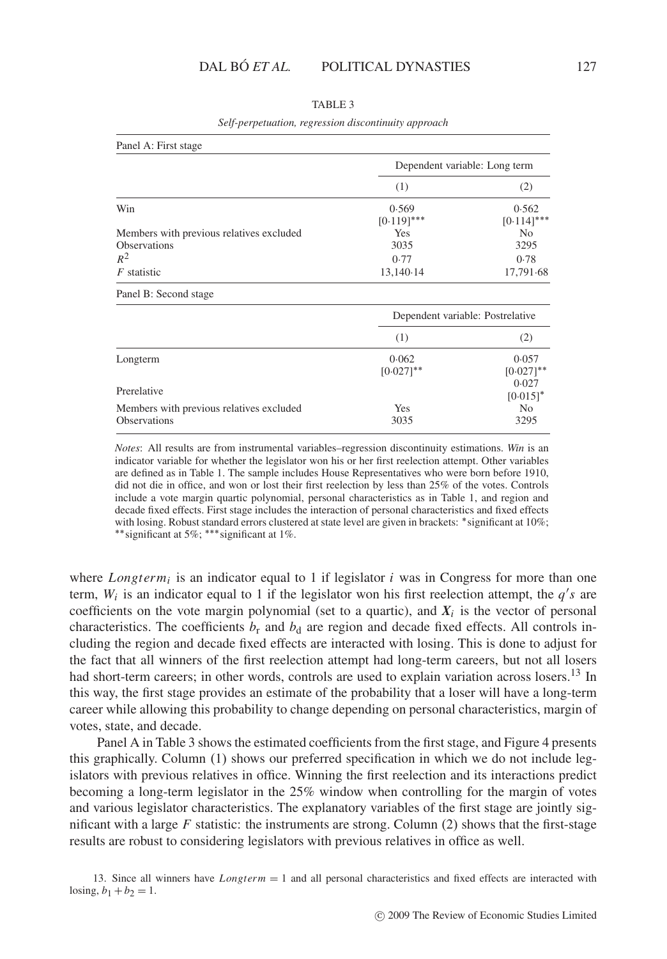| Panel A: First stage                                     |                        |                                  |
|----------------------------------------------------------|------------------------|----------------------------------|
|                                                          |                        | Dependent variable: Long term    |
|                                                          | (1)                    | (2)                              |
| Win                                                      | 0.569<br>$[0.119]$ *** | 0.562<br>$[0.114]$ ***           |
| Members with previous relatives excluded                 | <b>Yes</b>             | N <sub>0</sub>                   |
| Observations                                             | 3035                   | 3295                             |
| $R^2$                                                    | 0.77                   | 0.78                             |
| F statistic                                              | 13,140.14              | 17,791.68                        |
| Panel B: Second stage                                    |                        |                                  |
|                                                          |                        | Dependent variable: Postrelative |
|                                                          | (1)                    | (2)                              |
| Longterm                                                 | 0.062<br>$[0.027]$ **  | 0.057<br>$[0.027]$ **            |
| Prerelative                                              |                        | 0.027<br>$[0.015]$ <sup>*</sup>  |
| Members with previous relatives excluded<br>Observations | Yes<br>3035            | N <sub>0</sub><br>3295           |

TABLE 3 *Self-perpetuation, regression discontinuity approach*

*Notes*: All results are from instrumental variables–regression discontinuity estimations. *Win* is an indicator variable for whether the legislator won his or her first reelection attempt. Other variables are defined as in Table 1. The sample includes House Representatives who were born before 1910, did not die in office, and won or lost their first reelection by less than 25% of the votes. Controls include a vote margin quartic polynomial, personal characteristics as in Table 1, and region and decade fixed effects. First stage includes the interaction of personal characteristics and fixed effects with losing. Robust standard errors clustered at state level are given in brackets: \*significant at 10%; ∗∗significant at 5%; ∗∗∗significant at 1%.

where *Longterm<sub>i</sub>* is an indicator equal to 1 if legislator *i* was in Congress for more than one term,  $W_i$  is an indicator equal to 1 if the legislator won his first reelection attempt, the  $q's$  are coefficients on the vote margin polynomial (set to a quartic), and  $X_i$  is the vector of personal characteristics. The coefficients  $b_r$  and  $b_d$  are region and decade fixed effects. All controls including the region and decade fixed effects are interacted with losing. This is done to adjust for the fact that all winners of the first reelection attempt had long-term careers, but not all losers had short-term careers; in other words, controls are used to explain variation across losers.<sup>13</sup> In this way, the first stage provides an estimate of the probability that a loser will have a long-term career while allowing this probability to change depending on personal characteristics, margin of votes, state, and decade.

Panel A in Table 3 shows the estimated coefficients from the first stage, and Figure 4 presents this graphically. Column (1) shows our preferred specification in which we do not include legislators with previous relatives in office. Winning the first reelection and its interactions predict becoming a long-term legislator in the 25% window when controlling for the margin of votes and various legislator characteristics. The explanatory variables of the first stage are jointly significant with a large  $F$  statistic: the instruments are strong. Column  $(2)$  shows that the first-stage results are robust to considering legislators with previous relatives in office as well.

13. Since all winners have *Longterm* = 1 and all personal characteristics and fixed effects are interacted with losing,  $b_1 + b_2 = 1$ .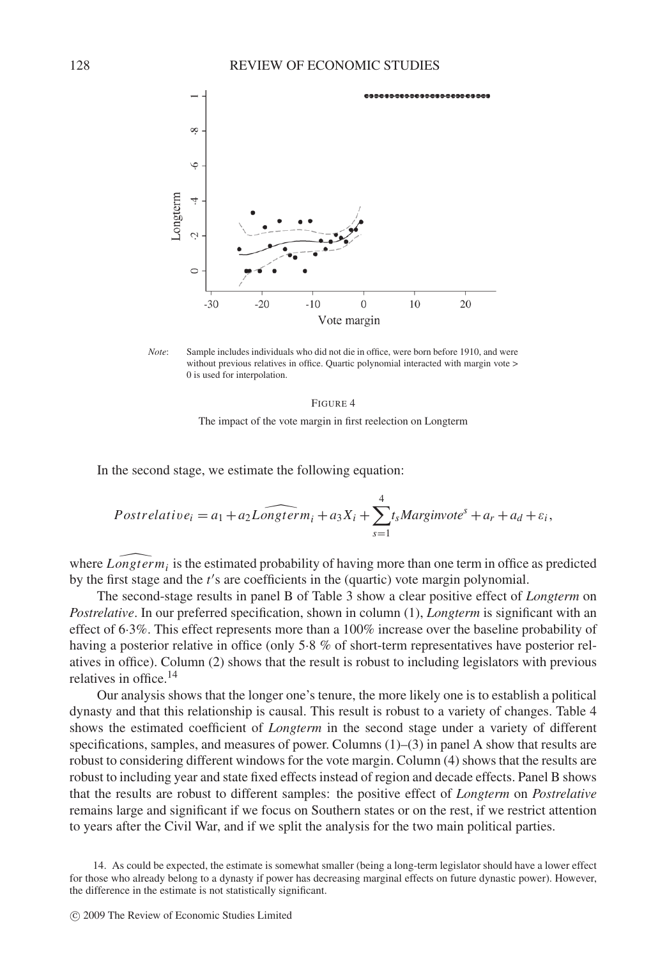

*Note*: Sample includes individuals who did not die in office, were born before 1910, and were without previous relatives in office. Quartic polynomial interacted with margin vote > 0 is used for interpolation.

FIGURE 4 The impact of the vote margin in first reelection on Longterm

In the second stage, we estimate the following equation:

$$
Postrelative_i = a_1 + a_2 \widehat{Logterm}_i + a_3 X_i + \sum_{s=1}^{4} t_s \text{Marginvote}^s + a_r + a_d + \varepsilon_i,
$$

where *Longterm*<sub>*i*</sub> is the estimated probability of having more than one term in office as predicted by the first stage and the *t* s are coefficients in the (quartic) vote margin polynomial.

The second-stage results in panel B of Table 3 show a clear positive effect of *Longterm* on *Postrelative*. In our preferred specification, shown in column (1), *Longterm* is significant with an effect of 6·3%. This effect represents more than a 100% increase over the baseline probability of having a posterior relative in office (only 5.8 % of short-term representatives have posterior relatives in office). Column (2) shows that the result is robust to including legislators with previous relatives in office.14

Our analysis shows that the longer one's tenure, the more likely one is to establish a political dynasty and that this relationship is causal. This result is robust to a variety of changes. Table 4 shows the estimated coefficient of *Longterm* in the second stage under a variety of different specifications, samples, and measures of power. Columns  $(1)$ – $(3)$  in panel A show that results are robust to considering different windows for the vote margin. Column (4) shows that the results are robust to including year and state fixed effects instead of region and decade effects. Panel B shows that the results are robust to different samples: the positive effect of *Longterm* on *Postrelative* remains large and significant if we focus on Southern states or on the rest, if we restrict attention to years after the Civil War, and if we split the analysis for the two main political parties.

<sup>14.</sup> As could be expected, the estimate is somewhat smaller (being a long-term legislator should have a lower effect for those who already belong to a dynasty if power has decreasing marginal effects on future dynastic power). However, the difference in the estimate is not statistically significant.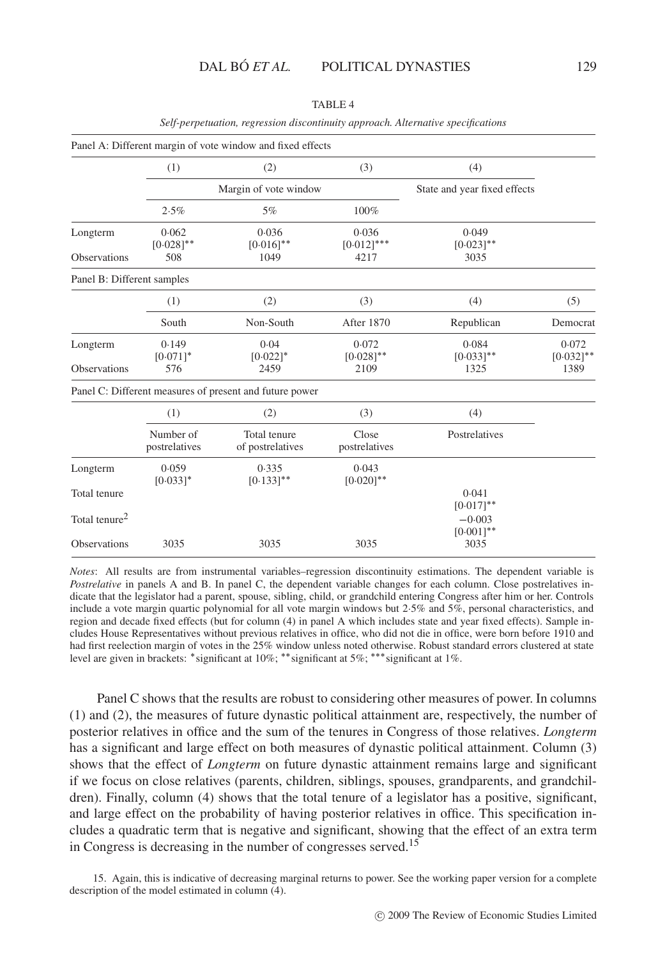|                            |                            | Panel A: Different margin of vote window and fixed effects |                        |                              |                       |
|----------------------------|----------------------------|------------------------------------------------------------|------------------------|------------------------------|-----------------------|
|                            | (1)                        | (2)                                                        | (3)                    | (4)                          |                       |
|                            |                            | Margin of vote window                                      |                        | State and year fixed effects |                       |
|                            | 2.5%                       | 5%                                                         | 100%                   |                              |                       |
| Longterm                   | 0.062<br>$[0.028]^{**}$    | 0.036<br>$[0.016]$ **                                      | 0.036<br>$[0.012]$ *** | 0.049<br>$[0.023]^{**}$      |                       |
| <b>Observations</b>        | 508                        | 1049                                                       | 4217                   | 3035                         |                       |
| Panel B: Different samples |                            |                                                            |                        |                              |                       |
|                            | (1)                        | (2)                                                        | (3)                    | (4)                          | (5)                   |
|                            | South                      | Non-South                                                  | <b>After 1870</b>      | Republican                   | Democrat              |
| Longterm                   | 0.149<br>$[0.071]$ *       | 0.04<br>$[0.022]$ *                                        | 0.072<br>$[0.028]$ **  | 0.084<br>$[0.033]$ **        | 0.072<br>$[0.032]$ ** |
| <b>Observations</b>        | 576                        | 2459                                                       | 2109                   | 1325                         | 1389                  |
|                            |                            | Panel C: Different measures of present and future power    |                        |                              |                       |
|                            | (1)                        | (2)                                                        | (3)                    | (4)                          |                       |
|                            | Number of<br>postrelatives | Total tenure<br>of postrelatives                           | Close<br>postrelatives | Postrelatives                |                       |
| Longterm                   | 0.059<br>$[0.033]$ *       | 0.335<br>$[0.133]$ **                                      | 0.043<br>$[0.020]$ **  |                              |                       |
| Total tenure               |                            |                                                            |                        | 0.041<br>$[0.017]$ **        |                       |
| Total tenure <sup>2</sup>  |                            |                                                            |                        | $-0.003$<br>$[0.001]$ **     |                       |
| <b>Observations</b>        | 3035                       | 3035                                                       | 3035                   | 3035                         |                       |

TABLE 4 *Self-perpetuation, regression discontinuity approach. Alternative specifications*

*Notes*: All results are from instrumental variables–regression discontinuity estimations. The dependent variable is *Postrelative* in panels A and B. In panel C, the dependent variable changes for each column. Close postrelatives indicate that the legislator had a parent, spouse, sibling, child, or grandchild entering Congress after him or her. Controls include a vote margin quartic polynomial for all vote margin windows but 2·5% and 5%, personal characteristics, and region and decade fixed effects (but for column (4) in panel A which includes state and year fixed effects). Sample includes House Representatives without previous relatives in office, who did not die in office, were born before 1910 and had first reelection margin of votes in the 25% window unless noted otherwise. Robust standard errors clustered at state level are given in brackets: ∗significant at 10%; ∗∗significant at 5%; ∗∗∗significant at 1%.

Panel C shows that the results are robust to considering other measures of power. In columns (1) and (2), the measures of future dynastic political attainment are, respectively, the number of posterior relatives in office and the sum of the tenures in Congress of those relatives. *Longterm* has a significant and large effect on both measures of dynastic political attainment. Column (3) shows that the effect of *Longterm* on future dynastic attainment remains large and significant if we focus on close relatives (parents, children, siblings, spouses, grandparents, and grandchildren). Finally, column (4) shows that the total tenure of a legislator has a positive, significant, and large effect on the probability of having posterior relatives in office. This specification includes a quadratic term that is negative and significant, showing that the effect of an extra term in Congress is decreasing in the number of congresses served.15

15. Again, this is indicative of decreasing marginal returns to power. See the working paper version for a complete description of the model estimated in column (4).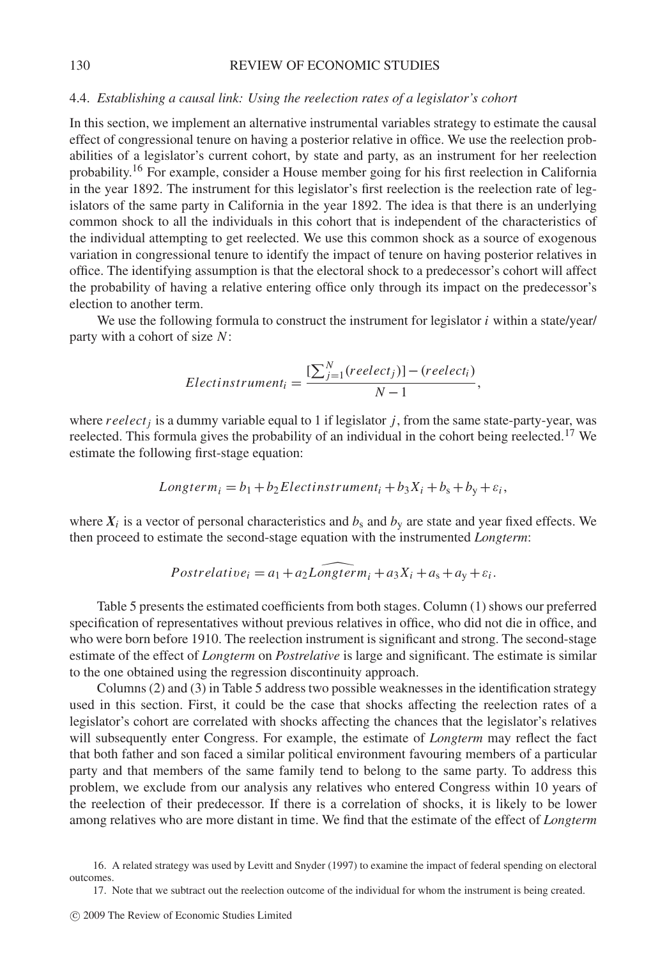### 130 REVIEW OF ECONOMIC STUDIES

# 4.4. *Establishing a causal link: Using the reelection rates of a legislator's cohort*

In this section, we implement an alternative instrumental variables strategy to estimate the causal effect of congressional tenure on having a posterior relative in office. We use the reelection probabilities of a legislator's current cohort, by state and party, as an instrument for her reelection probability.16 For example, consider a House member going for his first reelection in California in the year 1892. The instrument for this legislator's first reelection is the reelection rate of legislators of the same party in California in the year 1892. The idea is that there is an underlying common shock to all the individuals in this cohort that is independent of the characteristics of the individual attempting to get reelected. We use this common shock as a source of exogenous variation in congressional tenure to identify the impact of tenure on having posterior relatives in office. The identifying assumption is that the electoral shock to a predecessor's cohort will affect the probability of having a relative entering office only through its impact on the predecessor's election to another term.

We use the following formula to construct the instrument for legislator *i* within a state/year/ party with a cohort of size *N*:

$$
Electinstrument_i = \frac{[\sum_{j=1}^{N}(reelect_j)] - (reelect_i)}{N-1},
$$

where *reelect<sub>i</sub>* is a dummy variable equal to 1 if legislator *j*, from the same state-party-year, was reelected. This formula gives the probability of an individual in the cohort being reelected.<sup>17</sup> We estimate the following first-stage equation:

$$
Longterm_i = b_1 + b_2 \text{Electinstrument}_i + b_3 X_i + b_5 + b_7 + \varepsilon_i,
$$

where  $X_i$  is a vector of personal characteristics and  $b_s$  and  $b_y$  are state and year fixed effects. We then proceed to estimate the second-stage equation with the instrumented *Longterm*:

$$
Postrelative_i = a_1 + a_2 \widehat{Longterm}_i + a_3 X_i + a_s + a_y + \varepsilon_i.
$$

Table 5 presents the estimated coefficients from both stages. Column (1) shows our preferred specification of representatives without previous relatives in office, who did not die in office, and who were born before 1910. The reelection instrument is significant and strong. The second-stage estimate of the effect of *Longterm* on *Postrelative* is large and significant. The estimate is similar to the one obtained using the regression discontinuity approach.

Columns (2) and (3) in Table 5 address two possible weaknesses in the identification strategy used in this section. First, it could be the case that shocks affecting the reelection rates of a legislator's cohort are correlated with shocks affecting the chances that the legislator's relatives will subsequently enter Congress. For example, the estimate of *Longterm* may reflect the fact that both father and son faced a similar political environment favouring members of a particular party and that members of the same family tend to belong to the same party. To address this problem, we exclude from our analysis any relatives who entered Congress within 10 years of the reelection of their predecessor. If there is a correlation of shocks, it is likely to be lower among relatives who are more distant in time. We find that the estimate of the effect of *Longterm*

<sup>16.</sup> A related strategy was used by Levitt and Snyder (1997) to examine the impact of federal spending on electoral outcomes.

<sup>17.</sup> Note that we subtract out the reelection outcome of the individual for whom the instrument is being created.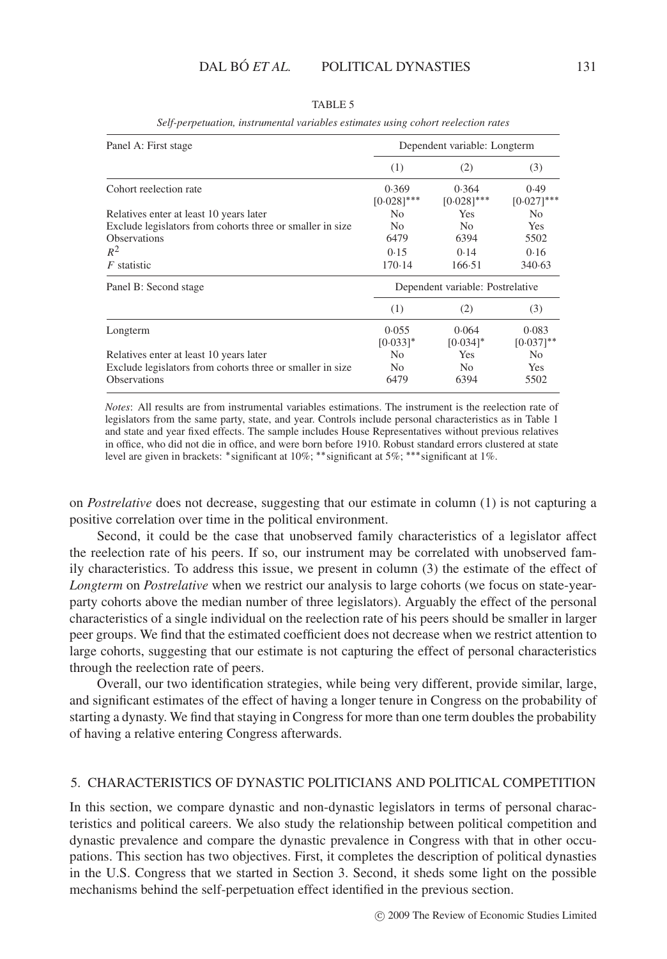| Panel A: First stage                                      | Dependent variable: Longterm |                                  |                       |  |  |
|-----------------------------------------------------------|------------------------------|----------------------------------|-----------------------|--|--|
|                                                           | (1)                          | (2)                              | (3)                   |  |  |
| Cohort reelection rate                                    | 0.369<br>$[0.028]$ ***       | 0.364<br>$[0.028]$ ***           | 0.49<br>$[0.027]$ *** |  |  |
| Relatives enter at least 10 years later                   | No                           | Yes                              | N <sub>0</sub>        |  |  |
| Exclude legislators from cohorts three or smaller in size | N <sub>0</sub>               | N <sub>0</sub>                   | Yes                   |  |  |
| Observations                                              | 6479                         | 6394                             | 5502                  |  |  |
| $R^2$                                                     | 0.15                         | 0.14                             | 0.16                  |  |  |
| F statistic                                               | 170.14                       | 166.51                           | 340.63                |  |  |
| Panel B: Second stage                                     |                              | Dependent variable: Postrelative |                       |  |  |
|                                                           | (1)                          | (2)                              | (3)                   |  |  |
| Longterm                                                  | 0.055                        | 0.064                            | 0.083                 |  |  |
|                                                           | $[0.033]$ *                  | $[0.034]$ *                      | $[0.037]$ **          |  |  |
| Relatives enter at least 10 years later                   | No                           | Yes                              | N <sub>0</sub>        |  |  |
| Exclude legislators from cohorts three or smaller in size | N <sub>0</sub>               | No.                              | Yes                   |  |  |
| Observations                                              | 6479                         | 6394                             | 5502                  |  |  |
|                                                           |                              |                                  |                       |  |  |

TABLE 5 *Self-perpetuation, instrumental variables estimates using cohort reelection rates*

*Notes*: All results are from instrumental variables estimations. The instrument is the reelection rate of legislators from the same party, state, and year. Controls include personal characteristics as in Table 1 and state and year fixed effects. The sample includes House Representatives without previous relatives in office, who did not die in office, and were born before 1910. Robust standard errors clustered at state level are given in brackets: ∗significant at 10%; ∗∗significant at 5%; ∗∗∗significant at 1%.

on *Postrelative* does not decrease, suggesting that our estimate in column (1) is not capturing a positive correlation over time in the political environment.

Second, it could be the case that unobserved family characteristics of a legislator affect the reelection rate of his peers. If so, our instrument may be correlated with unobserved family characteristics. To address this issue, we present in column (3) the estimate of the effect of *Longterm* on *Postrelative* when we restrict our analysis to large cohorts (we focus on state-yearparty cohorts above the median number of three legislators). Arguably the effect of the personal characteristics of a single individual on the reelection rate of his peers should be smaller in larger peer groups. We find that the estimated coefficient does not decrease when we restrict attention to large cohorts, suggesting that our estimate is not capturing the effect of personal characteristics through the reelection rate of peers.

Overall, our two identification strategies, while being very different, provide similar, large, and significant estimates of the effect of having a longer tenure in Congress on the probability of starting a dynasty. We find that staying in Congress for more than one term doubles the probability of having a relative entering Congress afterwards.

# 5. CHARACTERISTICS OF DYNASTIC POLITICIANS AND POLITICAL COMPETITION

In this section, we compare dynastic and non-dynastic legislators in terms of personal characteristics and political careers. We also study the relationship between political competition and dynastic prevalence and compare the dynastic prevalence in Congress with that in other occupations. This section has two objectives. First, it completes the description of political dynasties in the U.S. Congress that we started in Section 3. Second, it sheds some light on the possible mechanisms behind the self-perpetuation effect identified in the previous section.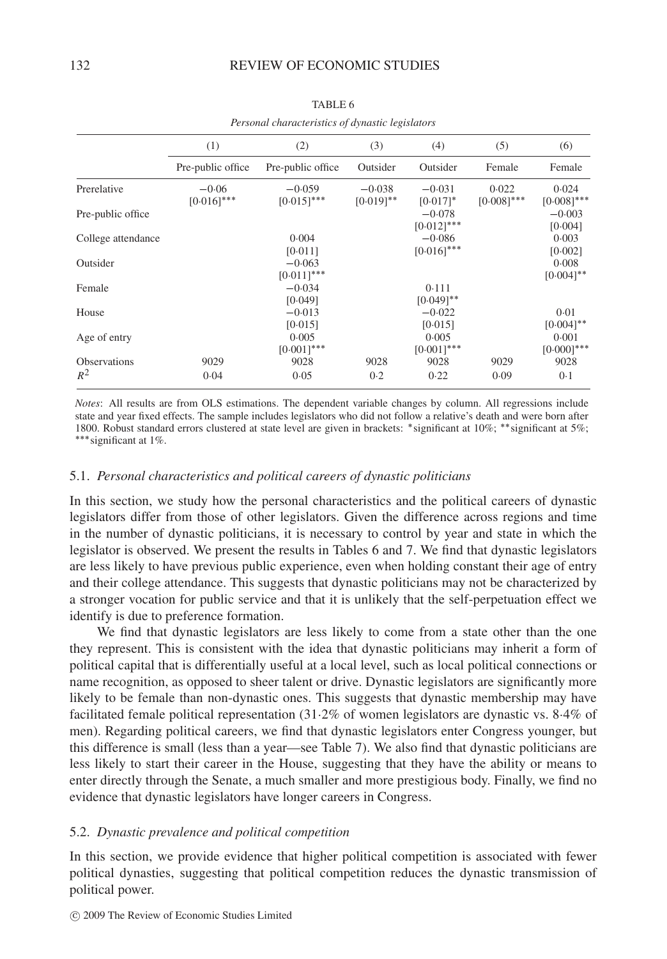|                              | (1)                      | (2)                       | (3)                      | (4)                       | (5)                    | (6)                    |
|------------------------------|--------------------------|---------------------------|--------------------------|---------------------------|------------------------|------------------------|
|                              | Pre-public office        | Pre-public office         | Outsider                 | Outsider                  | Female                 | Female                 |
| Prerelative                  | $-0.06$<br>$[0.016]$ *** | $-0.059$<br>$[0.015]$ *** | $-0.038$<br>$[0.019]$ ** | $-0.031$<br>$[0.017]$ *   | 0.022<br>$[0.008]$ *** | 0.024<br>$[0.008]$ *** |
| Pre-public office            |                          |                           |                          | $-0.078$<br>$[0.012]$ *** |                        | $-0.003$<br>[0.004]    |
| College attendance           |                          | 0.004<br>[0.011]          |                          | $-0.086$<br>$[0.016]$ *** |                        | 0.003<br>[0.002]       |
| Outsider                     |                          | $-0.063$<br>$[0.011]$ *** |                          |                           |                        | 0.008<br>$[0.004]$ **  |
| Female                       |                          | $-0.034$<br>[0.049]       |                          | 0.111<br>$[0.049]$ **     |                        |                        |
| House                        |                          | $-0.013$<br>[0.015]       |                          | $-0.022$<br>[0.015]       |                        | 0.01<br>$[0.004]$ **   |
| Age of entry                 |                          | 0.005<br>$[0.001]$ ***    |                          | 0.005<br>$[0.001]$ ***    |                        | 0.001<br>$[0.000]$ *** |
| <b>Observations</b><br>$R^2$ | 9029<br>0.04             | 9028<br>0.05              | 9028<br>0.2              | 9028<br>0.22              | 9029<br>0.09           | 9028<br>0.1            |

TABLE 6 *Personal characteristics of dynastic legislators*

*Notes*: All results are from OLS estimations. The dependent variable changes by column. All regressions include state and year fixed effects. The sample includes legislators who did not follow a relative's death and were born after 1800. Robust standard errors clustered at state level are given in brackets: ∗significant at 10%; ∗∗significant at 5%; ∗∗∗significant at 1%.

# 5.1. *Personal characteristics and political careers of dynastic politicians*

In this section, we study how the personal characteristics and the political careers of dynastic legislators differ from those of other legislators. Given the difference across regions and time in the number of dynastic politicians, it is necessary to control by year and state in which the legislator is observed. We present the results in Tables 6 and 7. We find that dynastic legislators are less likely to have previous public experience, even when holding constant their age of entry and their college attendance. This suggests that dynastic politicians may not be characterized by a stronger vocation for public service and that it is unlikely that the self-perpetuation effect we identify is due to preference formation.

We find that dynastic legislators are less likely to come from a state other than the one they represent. This is consistent with the idea that dynastic politicians may inherit a form of political capital that is differentially useful at a local level, such as local political connections or name recognition, as opposed to sheer talent or drive. Dynastic legislators are significantly more likely to be female than non-dynastic ones. This suggests that dynastic membership may have facilitated female political representation (31·2% of women legislators are dynastic vs. 8·4% of men). Regarding political careers, we find that dynastic legislators enter Congress younger, but this difference is small (less than a year—see Table 7). We also find that dynastic politicians are less likely to start their career in the House, suggesting that they have the ability or means to enter directly through the Senate, a much smaller and more prestigious body. Finally, we find no evidence that dynastic legislators have longer careers in Congress.

# 5.2. *Dynastic prevalence and political competition*

In this section, we provide evidence that higher political competition is associated with fewer political dynasties, suggesting that political competition reduces the dynastic transmission of political power.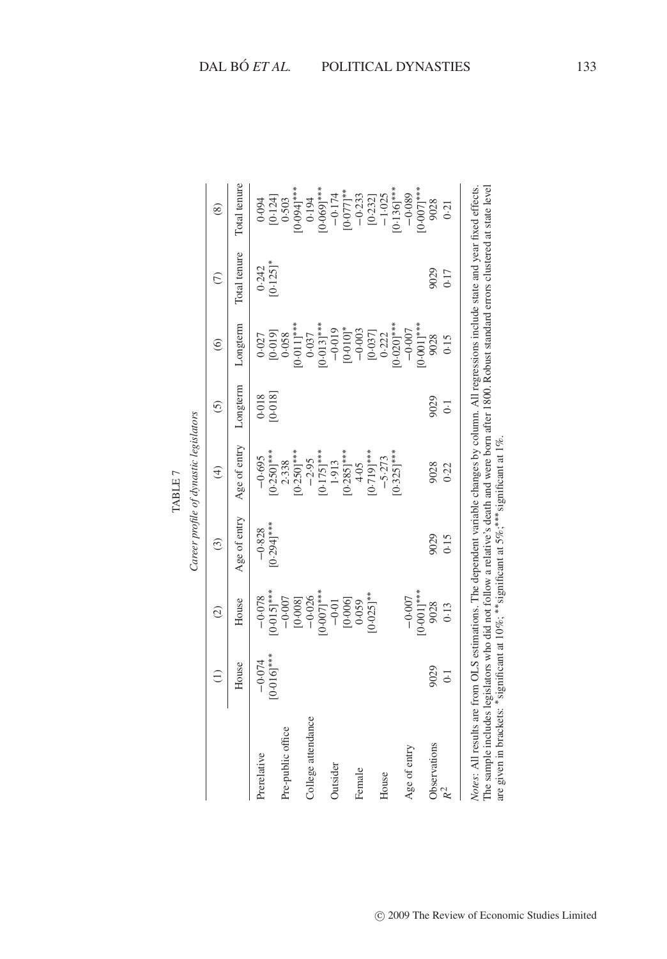|                                                                                                                                                                                                                                                                                                                                                                                                      |                           |                          |                           | Career profile of dynastic legislators<br>' THRU |                  |                                                       |                      |                                                |
|------------------------------------------------------------------------------------------------------------------------------------------------------------------------------------------------------------------------------------------------------------------------------------------------------------------------------------------------------------------------------------------------------|---------------------------|--------------------------|---------------------------|--------------------------------------------------|------------------|-------------------------------------------------------|----------------------|------------------------------------------------|
|                                                                                                                                                                                                                                                                                                                                                                                                      | Ξ                         | $\widehat{\infty}$       | ⊙                         | $\widehat{f}$                                    | $\widehat{c}$    | $\widehat{\circ}$                                     | $\odot$              | $\circledS$                                    |
|                                                                                                                                                                                                                                                                                                                                                                                                      | House                     | House                    | Age of entry              | Age of entry                                     | Longterm         | Longterm                                              | Total tenure         | Total tenure                                   |
| Prerelative                                                                                                                                                                                                                                                                                                                                                                                          | $[0.016]$ ***<br>$-0.074$ | $0.015$ ]***<br>$-0.078$ | $[0.294]$ ***<br>$-0.828$ | $[0.250]$ ***<br>$-0.695$                        | [0.018]<br>0.018 | 0.027                                                 | $[0.125]$ *<br>0.242 | $0.094$<br>$[0.124]$<br>$0.503$                |
| Pre-public office                                                                                                                                                                                                                                                                                                                                                                                    |                           | $-0.007$                 |                           | 2.338                                            |                  | $[0.019]$<br>0.058                                    |                      |                                                |
| College attendance                                                                                                                                                                                                                                                                                                                                                                                   |                           | $-0.026$<br>[0.008]      |                           | $[0.250]$ ***<br>$-2.95$                         |                  | $[0.011]$ ***<br>0.037                                |                      | $0.094]$ ***<br>0.194                          |
| Outsider                                                                                                                                                                                                                                                                                                                                                                                             |                           | $[0.007]$ ***<br>$-0.01$ |                           | $[0.175]$ ***<br>1.913                           |                  | $[0.013]$ ***                                         |                      | $0.0691***$<br>$-0.174$                        |
| Female                                                                                                                                                                                                                                                                                                                                                                                               |                           | $[0.006]$<br>$0.059$     |                           | $[0.285]$ ***<br>4.05                            |                  | $-0.019$<br>$0.0101$<br>$0.037$<br>$0.037$<br>$0.222$ |                      | $\begin{array}{c} 0.077 \\ -0.233 \end{array}$ |
|                                                                                                                                                                                                                                                                                                                                                                                                      |                           | $0.025$ ]**              |                           | $[0.719]$ ***                                    |                  |                                                       |                      | $[0.232]$<br>-1.025                            |
| House                                                                                                                                                                                                                                                                                                                                                                                                |                           |                          |                           | $0.325$ ]***<br>$-5.273$                         |                  | $0.020]$ ***                                          |                      | $[0.136]$ ***                                  |
| Age of entry                                                                                                                                                                                                                                                                                                                                                                                         |                           | $-0.007$                 |                           |                                                  |                  | $[0.001]$ ***<br>$-0.007$                             |                      | $-0.089$                                       |
| Observations                                                                                                                                                                                                                                                                                                                                                                                         | 9029                      | $[0.001]$ ***<br>9028    | 9029                      | 9028                                             | 9029             | 9028                                                  | 9029                 | $0.0071***$<br>9028                            |
| $R^2$                                                                                                                                                                                                                                                                                                                                                                                                | $\overline{0}$ :          | 0.13                     | 0.15                      | 0.22                                             | $\overline{0}$   | 0.15                                                  | 0.17                 | 0.21                                           |
| The sample includes legislators who did not follow a relative's death and were born after 1800. Robust standard errors clustered at state level<br>Notes: All results are from OLS estimations. The dependent variable changes by column. All regressions include state and year fixed effects.<br>are given in brackets: *significant at $10\%$ ; **significant at $5\%$ ; *** significant at $1\%$ |                           |                          |                           |                                                  |                  |                                                       |                      |                                                |

TABLE 7 TABLE 7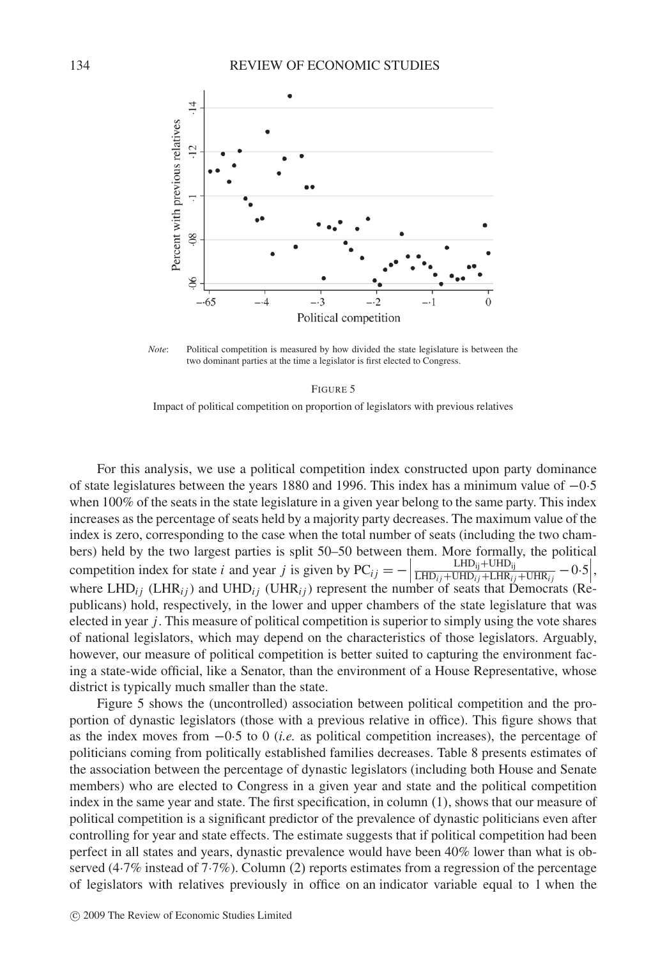

*Note*: Political competition is measured by how divided the state legislature is between the two dominant parties at the time a legislator is first elected to Congress.

#### FIGURE 5

Impact of political competition on proportion of legislators with previous relatives

For this analysis, we use a political competition index constructed upon party dominance of state legislatures between the years 1880 and 1996. This index has a minimum value of −0·5 when 100% of the seats in the state legislature in a given year belong to the same party. This index increases as the percentage of seats held by a majority party decreases. The maximum value of the index is zero, corresponding to the case when the total number of seats (including the two chambers) held by the two largest parties is split 50–50 between them. More formally, the political competition index for state *i* and year *j* is given by  $PC_{ij} = -\vert$ <br>where LHD, (LHD, ) and LHD, (LHD, ) represent the num  $\frac{\text{LHD}_{ij} + \text{UHD}_{ij}}{\text{LHD}_{ij} + \text{UHD}_{ij} + \text{UHR}_{ij} + \text{UHR}_{ij}} - 0.5$  $\Big\},$ where  $LHD_{ij}$  (LHR<sub>ij</sub>) and UHD<sub>ij</sub> (UHR<sub>ij</sub>) represent the number of seats that Democrats (Republicans) hold, respectively, in the lower and upper chambers of the state legislature that was elected in year *j*. This measure of political competition is superior to simply using the vote shares of national legislators, which may depend on the characteristics of those legislators. Arguably, however, our measure of political competition is better suited to capturing the environment facing a state-wide official, like a Senator, than the environment of a House Representative, whose district is typically much smaller than the state.

Figure 5 shows the (uncontrolled) association between political competition and the proportion of dynastic legislators (those with a previous relative in office). This figure shows that as the index moves from −0·5 to 0 (*i.e.* as political competition increases), the percentage of politicians coming from politically established families decreases. Table 8 presents estimates of the association between the percentage of dynastic legislators (including both House and Senate members) who are elected to Congress in a given year and state and the political competition index in the same year and state. The first specification, in column (1), shows that our measure of political competition is a significant predictor of the prevalence of dynastic politicians even after controlling for year and state effects. The estimate suggests that if political competition had been perfect in all states and years, dynastic prevalence would have been 40% lower than what is observed (4·7% instead of 7·7%). Column (2) reports estimates from a regression of the percentage of legislators with relatives previously in office on an indicator variable equal to 1 when the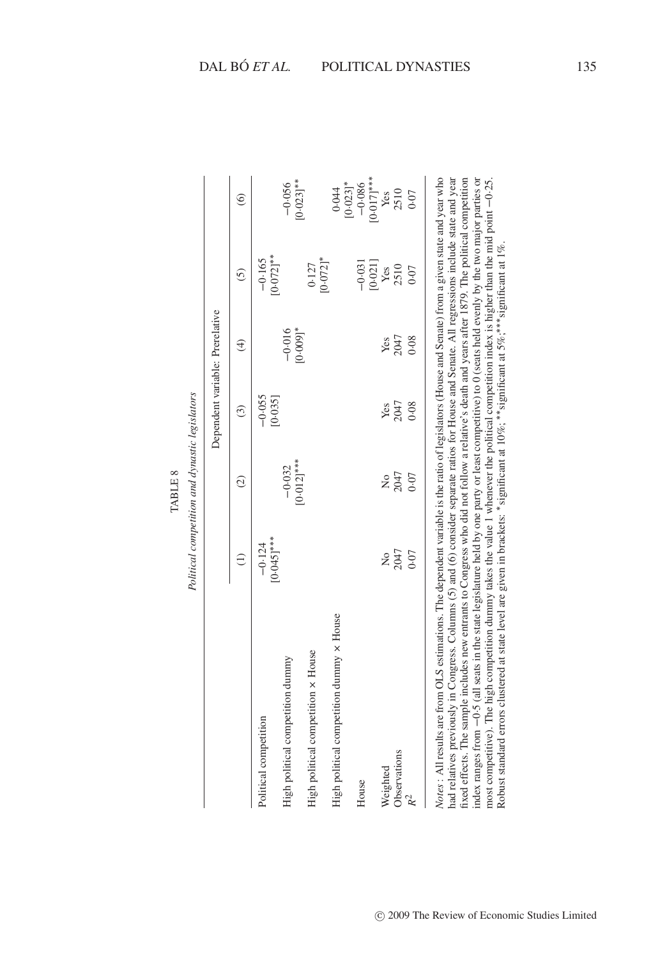|                                                                                                                                                                                                                                                                                                                                                                                                                                                                                                                                                                                                                                                                                                                                                                                                                                                                                                                           |                           | Political competition and dynastic legislators |                     |                                 |                          |                          |
|---------------------------------------------------------------------------------------------------------------------------------------------------------------------------------------------------------------------------------------------------------------------------------------------------------------------------------------------------------------------------------------------------------------------------------------------------------------------------------------------------------------------------------------------------------------------------------------------------------------------------------------------------------------------------------------------------------------------------------------------------------------------------------------------------------------------------------------------------------------------------------------------------------------------------|---------------------------|------------------------------------------------|---------------------|---------------------------------|--------------------------|--------------------------|
|                                                                                                                                                                                                                                                                                                                                                                                                                                                                                                                                                                                                                                                                                                                                                                                                                                                                                                                           |                           |                                                |                     | Dependent variable: Prerelative |                          |                          |
|                                                                                                                                                                                                                                                                                                                                                                                                                                                                                                                                                                                                                                                                                                                                                                                                                                                                                                                           | Ξ                         | $\widehat{\infty}$                             | $\widehat{c}$       | $\widehat{E}$                   | $\widehat{c}$            | $\widehat{\circ}$        |
| Political competition                                                                                                                                                                                                                                                                                                                                                                                                                                                                                                                                                                                                                                                                                                                                                                                                                                                                                                     | $[0.045]$ ***<br>$-0.124$ |                                                | $-0.055$<br>[0.035] |                                 | $[0.072]$ **<br>$-0.165$ |                          |
| High political competition dummy                                                                                                                                                                                                                                                                                                                                                                                                                                                                                                                                                                                                                                                                                                                                                                                                                                                                                          |                           | $[0.012]$ ***<br>$-0.032$                      |                     | $[0.009]$ *<br>$-0.016$         |                          | $[0.023]$ **<br>$-0.056$ |
| High political competition x House                                                                                                                                                                                                                                                                                                                                                                                                                                                                                                                                                                                                                                                                                                                                                                                                                                                                                        |                           |                                                |                     |                                 | $[0.072]$ *<br>0.127     |                          |
| High political competition dummy x House                                                                                                                                                                                                                                                                                                                                                                                                                                                                                                                                                                                                                                                                                                                                                                                                                                                                                  |                           |                                                |                     |                                 |                          | 0.044                    |
| House                                                                                                                                                                                                                                                                                                                                                                                                                                                                                                                                                                                                                                                                                                                                                                                                                                                                                                                     |                           |                                                |                     |                                 | $-0.031$                 | $[0.023]$ *<br>$-0.086$  |
|                                                                                                                                                                                                                                                                                                                                                                                                                                                                                                                                                                                                                                                                                                                                                                                                                                                                                                                           |                           |                                                |                     |                                 | [0.021]                  | $[0.017]$ ***            |
| Weighted                                                                                                                                                                                                                                                                                                                                                                                                                                                                                                                                                                                                                                                                                                                                                                                                                                                                                                                  | $\frac{1}{2}$             | ż                                              | Yes                 | Yes                             | Yes                      | Yes                      |
| Observations                                                                                                                                                                                                                                                                                                                                                                                                                                                                                                                                                                                                                                                                                                                                                                                                                                                                                                              | 2047                      | 2047                                           | 2047                | 2047                            | 2510                     | 2510                     |
|                                                                                                                                                                                                                                                                                                                                                                                                                                                                                                                                                                                                                                                                                                                                                                                                                                                                                                                           | 0.07                      | 0.07                                           | 0.08                | 0.08                            | 0.07                     | 0.07                     |
| Notes: All results are from OLS estimations. The dependent variable is the ratio of legislators (House and Senate) from a given state and year who<br>fixed effects. The sample includes new entrants to Congress who did not follow a relative's death and years after 1879. The political competition<br>index ranges from -0.5 (all seats in the state legislature held by one party or least competitive) to 0 (seats held evenly by the two major parties or<br>had relatives previously in Congress. Columns (5) and (6) consider separate ratios for House and Senate. All regressions include state and year<br>most competitive). The high competition dummy takes the value 1 whenever the political competition index is higher than the mid point $-0.25$ .<br>Robust standard errors clustered at state level are given in brackets: *significant at $10\%$ ; **significant at $5\%$ ; ***significant at 1%. |                           |                                                |                     |                                 |                          |                          |

| $\infty$ | ż |
|----------|---|
|          | j |
| TABLE    |   |
|          |   |
|          |   |
|          |   |
|          |   |
|          | ï |

| Notes: All results are from OLS estimations. The dependent variable is the ratio of legislators (House and Senate) from a given state and y<br>had relatives previously in Congress. Columns (5) and (6) consider separate ratios for House and Senate. All regressions include state a<br>fixed effects. The sample includes new entrants to Congress who did not follow a relative's death and years after 1879. The political com<br>index ranges from -0.5 (all seats in the state legislature held by one party or least competitive) to 0 (seats held evenly by the two major p<br>most competitive). The high competition dummy takes the value 1 whenever the political competition index is higher than the mid point<br>Robust standard errors clustered at state level are given in brackets: *significant at 10%; **significant at 5%; *** significant at 1%.<br>2510<br>0.07<br>2047<br>0.08<br>2047<br>0.08<br>2047<br>0.07<br>2047<br>0.07<br>Observations<br>R <sup>2</sup> | Weighted | ş | ş | Yes | Yes | Yes |
|---------------------------------------------------------------------------------------------------------------------------------------------------------------------------------------------------------------------------------------------------------------------------------------------------------------------------------------------------------------------------------------------------------------------------------------------------------------------------------------------------------------------------------------------------------------------------------------------------------------------------------------------------------------------------------------------------------------------------------------------------------------------------------------------------------------------------------------------------------------------------------------------------------------------------------------------------------------------------------------------|----------|---|---|-----|-----|-----|
|                                                                                                                                                                                                                                                                                                                                                                                                                                                                                                                                                                                                                                                                                                                                                                                                                                                                                                                                                                                             |          |   |   |     |     |     |
|                                                                                                                                                                                                                                                                                                                                                                                                                                                                                                                                                                                                                                                                                                                                                                                                                                                                                                                                                                                             |          |   |   |     |     |     |
|                                                                                                                                                                                                                                                                                                                                                                                                                                                                                                                                                                                                                                                                                                                                                                                                                                                                                                                                                                                             |          |   |   |     |     |     |
|                                                                                                                                                                                                                                                                                                                                                                                                                                                                                                                                                                                                                                                                                                                                                                                                                                                                                                                                                                                             |          |   |   |     |     |     |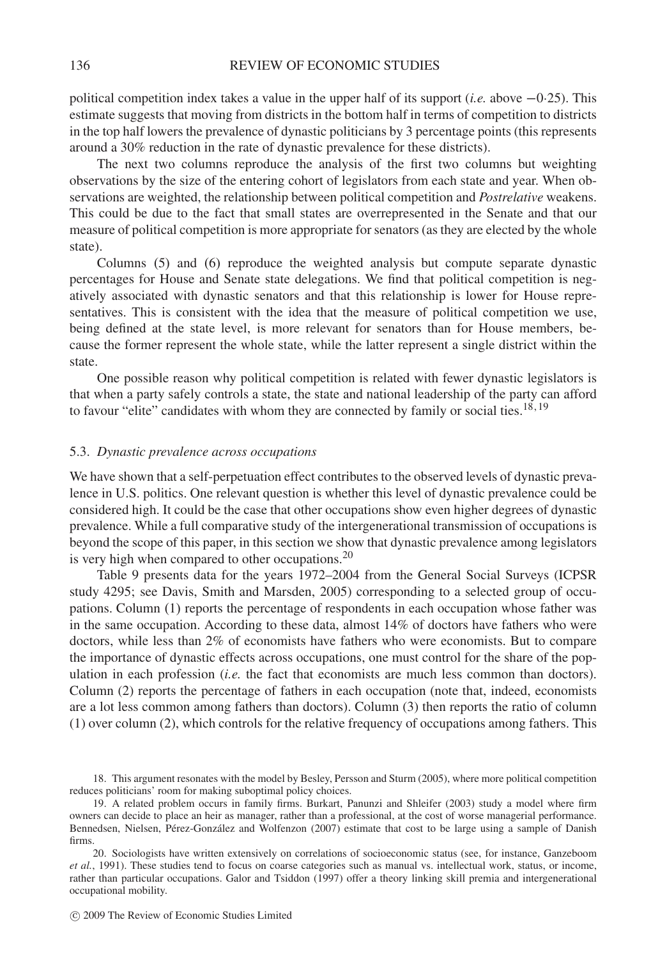political competition index takes a value in the upper half of its support (*i.e.* above −0·25). This estimate suggests that moving from districts in the bottom half in terms of competition to districts in the top half lowers the prevalence of dynastic politicians by 3 percentage points (this represents around a 30% reduction in the rate of dynastic prevalence for these districts).

The next two columns reproduce the analysis of the first two columns but weighting observations by the size of the entering cohort of legislators from each state and year. When observations are weighted, the relationship between political competition and *Postrelative* weakens. This could be due to the fact that small states are overrepresented in the Senate and that our measure of political competition is more appropriate for senators (as they are elected by the whole state).

Columns (5) and (6) reproduce the weighted analysis but compute separate dynastic percentages for House and Senate state delegations. We find that political competition is negatively associated with dynastic senators and that this relationship is lower for House representatives. This is consistent with the idea that the measure of political competition we use, being defined at the state level, is more relevant for senators than for House members, because the former represent the whole state, while the latter represent a single district within the state.

One possible reason why political competition is related with fewer dynastic legislators is that when a party safely controls a state, the state and national leadership of the party can afford to favour "elite" candidates with whom they are connected by family or social ties.<sup>18,19</sup>

#### 5.3. *Dynastic prevalence across occupations*

We have shown that a self-perpetuation effect contributes to the observed levels of dynastic prevalence in U.S. politics. One relevant question is whether this level of dynastic prevalence could be considered high. It could be the case that other occupations show even higher degrees of dynastic prevalence. While a full comparative study of the intergenerational transmission of occupations is beyond the scope of this paper, in this section we show that dynastic prevalence among legislators is very high when compared to other occupations. $^{20}$ 

Table 9 presents data for the years 1972–2004 from the General Social Surveys (ICPSR study 4295; see Davis, Smith and Marsden, 2005) corresponding to a selected group of occupations. Column (1) reports the percentage of respondents in each occupation whose father was in the same occupation. According to these data, almost 14% of doctors have fathers who were doctors, while less than 2% of economists have fathers who were economists. But to compare the importance of dynastic effects across occupations, one must control for the share of the population in each profession (*i.e.* the fact that economists are much less common than doctors). Column (2) reports the percentage of fathers in each occupation (note that, indeed, economists are a lot less common among fathers than doctors). Column (3) then reports the ratio of column (1) over column (2), which controls for the relative frequency of occupations among fathers. This

<sup>18.</sup> This argument resonates with the model by Besley, Persson and Sturm (2005), where more political competition reduces politicians' room for making suboptimal policy choices.

<sup>19.</sup> A related problem occurs in family firms. Burkart, Panunzi and Shleifer (2003) study a model where firm owners can decide to place an heir as manager, rather than a professional, at the cost of worse managerial performance. Bennedsen, Nielsen, Pérez-González and Wolfenzon (2007) estimate that cost to be large using a sample of Danish firms.

<sup>20.</sup> Sociologists have written extensively on correlations of socioeconomic status (see, for instance, Ganzeboom *et al.*, 1991). These studies tend to focus on coarse categories such as manual vs. intellectual work, status, or income, rather than particular occupations. Galor and Tsiddon (1997) offer a theory linking skill premia and intergenerational occupational mobility.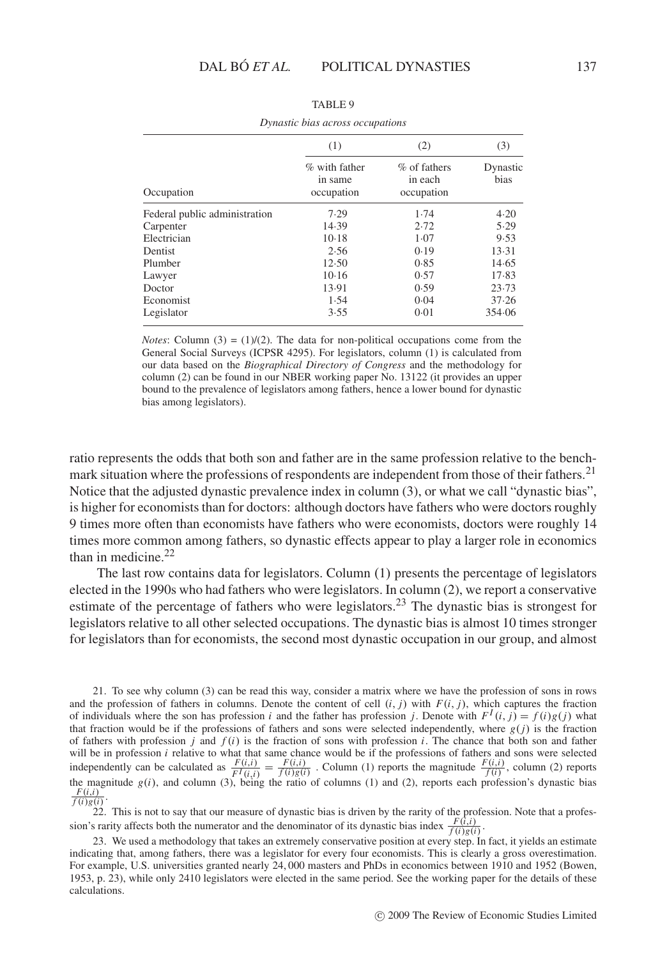|                               | (1)                                      | (2)                                   | (3)<br>Dynastic<br>bias |  |
|-------------------------------|------------------------------------------|---------------------------------------|-------------------------|--|
| Occupation                    | $%$ with father<br>in same<br>occupation | % of fathers<br>in each<br>occupation |                         |  |
| Federal public administration | 7.29                                     | 1.74                                  | 4.20                    |  |
| Carpenter                     | 14.39                                    | 2.72                                  | 5.29                    |  |
| Electrician                   | 10.18                                    | 1.07                                  | 9.53                    |  |
| Dentist                       | 2.56                                     | 0.19                                  | 13.31                   |  |
| Plumber                       | 12.50                                    | 0.85                                  | 14.65                   |  |
| Lawyer                        | 10.16                                    | 0.57                                  | 17.83                   |  |
| Doctor                        | 13.91                                    | 0.59                                  | 23.73                   |  |
| Economist                     | 1.54                                     | 0.04                                  | 37.26                   |  |
| Legislator                    | 3.55                                     | 0.01                                  | 354.06                  |  |

TABLE 9 *Dynastic bias across occupations*

*Notes*: Column  $(3) = (1)/(2)$ . The data for non-political occupations come from the General Social Surveys (ICPSR 4295). For legislators, column (1) is calculated from our data based on the *Biographical Directory of Congress* and the methodology for column (2) can be found in our NBER working paper No. 13122 (it provides an upper bound to the prevalence of legislators among fathers, hence a lower bound for dynastic bias among legislators).

ratio represents the odds that both son and father are in the same profession relative to the benchmark situation where the professions of respondents are independent from those of their fathers.<sup>21</sup> Notice that the adjusted dynastic prevalence index in column (3), or what we call "dynastic bias", is higher for economists than for doctors: although doctors have fathers who were doctors roughly 9 times more often than economists have fathers who were economists, doctors were roughly 14 times more common among fathers, so dynastic effects appear to play a larger role in economics than in medicine. $22$ 

The last row contains data for legislators. Column (1) presents the percentage of legislators elected in the 1990s who had fathers who were legislators. In column (2), we report a conservative estimate of the percentage of fathers who were legislators.<sup>23</sup> The dynastic bias is strongest for legislators relative to all other selected occupations. The dynastic bias is almost 10 times stronger for legislators than for economists, the second most dynastic occupation in our group, and almost

21. To see why column (3) can be read this way, consider a matrix where we have the profession of sons in rows and the profession of fathers in columns. Denote the content of cell  $(i, j)$  with  $F(i, j)$ , which captures the fraction<br>of individuals where the son has profession *i* and the father has profession *j*. Denote with  $F^I(i, j)$ that fraction would be if the professions of fathers and sons were selected independently, where  $g(j)$  is the fraction of fathers with profession *j* and  $f(i)$  is the fraction of sons with profession *i*. The chance that both son and father will be in profession *i* relative to what that same chance would be if the professions of fathers and sons were selected independently can be calculated as  $\frac{F(i,i)}{F^T(i,i)} = \frac{F(i,i)}{f(i)g(i)}$ . Column (1) reports the magnitud the magnitude  $g(i)$ , and column (3), being the ratio of columns (1) and (2), reports each profession's dynastic bias  $F(i,i)$  $\frac{F(i,i)}{f(i)g(i)}$ .

22. This is not to say that our measure of dynastic bias is driven by the rarity of the profession. Note that a profession's rarity affects both the numerator and the denominator of its dynastic bias index  $\frac{F(i, i)}{f(i)g(i$ 

23. We used a methodology that takes an extremely conservative position at every step. In fact, it yields an estimate indicating that, among fathers, there was a legislator for every four economists. This is clearly a gross overestimation. For example, U.S. universities granted nearly 24,000 masters and PhDs in economics between 1910 and 1952 (Bowen, 1953, p. 23), while only 2410 legislators were elected in the same period. See the working paper for the details of these calculations.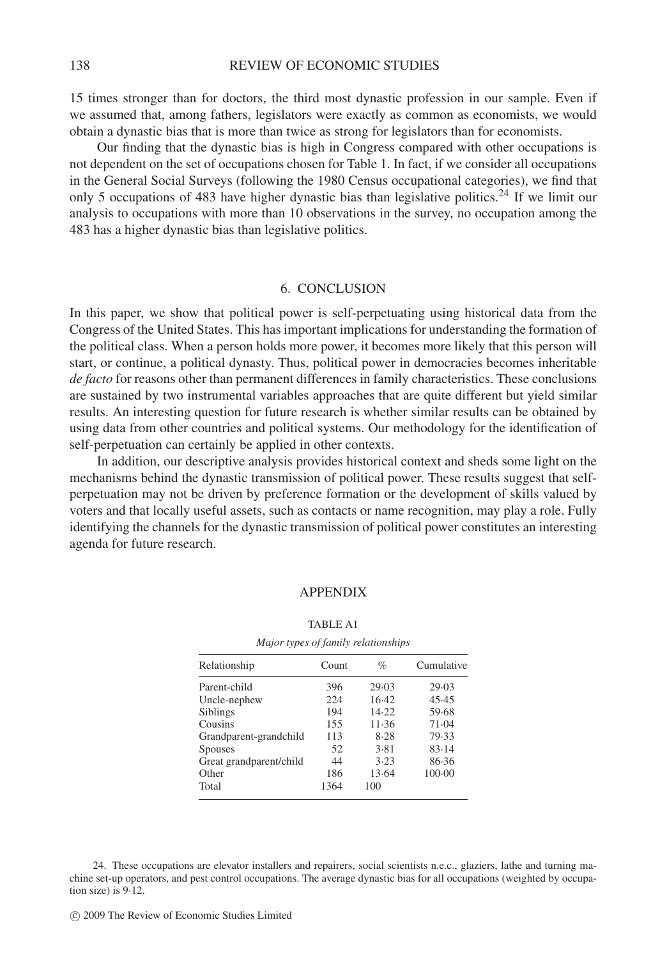15 times stronger than for doctors, the third most dynastic profession in our sample. Even if we assumed that, among fathers, legislators were exactly as common as economists, we would obtain a dynastic bias that is more than twice as strong for legislators than for economists.

Our finding that the dynastic bias is high in Congress compared with other occupations is not dependent on the set of occupations chosen for Table 1. In fact, if we consider all occupations in the General Social Surveys (following the 1980 Census occupational categories), we find that only 5 occupations of 483 have higher dynastic bias than legislative politics.<sup>24</sup> If we limit our analysis to occupations with more than 10 observations in the survey, no occupation among the 483 has a higher dynastic bias than legislative politics.

# 6. CONCLUSION

In this paper, we show that political power is self-perpetuating using historical data from the Congress of the United States. This has important implications for understanding the formation of the political class. When a person holds more power, it becomes more likely that this person will start, or continue, a political dynasty. Thus, political power in democracies becomes inheritable *de facto* for reasons other than permanent differences in family characteristics. These conclusions are sustained by two instrumental variables approaches that are quite different but yield similar results. An interesting question for future research is whether similar results can be obtained by using data from other countries and political systems. Our methodology for the identification of self-perpetuation can certainly be applied in other contexts.

In addition, our descriptive analysis provides historical context and sheds some light on the mechanisms behind the dynastic transmission of political power. These results suggest that selfperpetuation may not be driven by preference formation or the development of skills valued by voters and that locally useful assets, such as contacts or name recognition, may play a role. Fully identifying the channels for the dynastic transmission of political power constitutes an interesting agenda for future research.

# APPENDIX

| Relationship            | Count | $\%$  | Cumulative |
|-------------------------|-------|-------|------------|
| Parent-child            | 396   | 29.03 | 29.03      |
| Uncle-nephew            | 224   | 16.42 | 45.45      |
| Siblings                | 194   | 14.22 | 59.68      |
| Cousins                 | 155   | 11.36 | 71.04      |
| Grandparent-grandchild  | 113   | 8.28  | 79.33      |
| <b>Spouses</b>          | 52    | 3.81  | 83.14      |
| Great grandparent/child | 44    | 3.23  | 86.36      |
| Other                   | 186   | 13.64 | $100-00$   |
| Total                   | 1364  | 100   |            |

TABLE A1 *Major types of family relationships*

24. These occupations are elevator installers and repairers, social scientists n.e.c., glaziers, lathe and turning machine set-up operators, and pest control occupations. The average dynastic bias for all occupations (weighted by occupation size) is 9·12.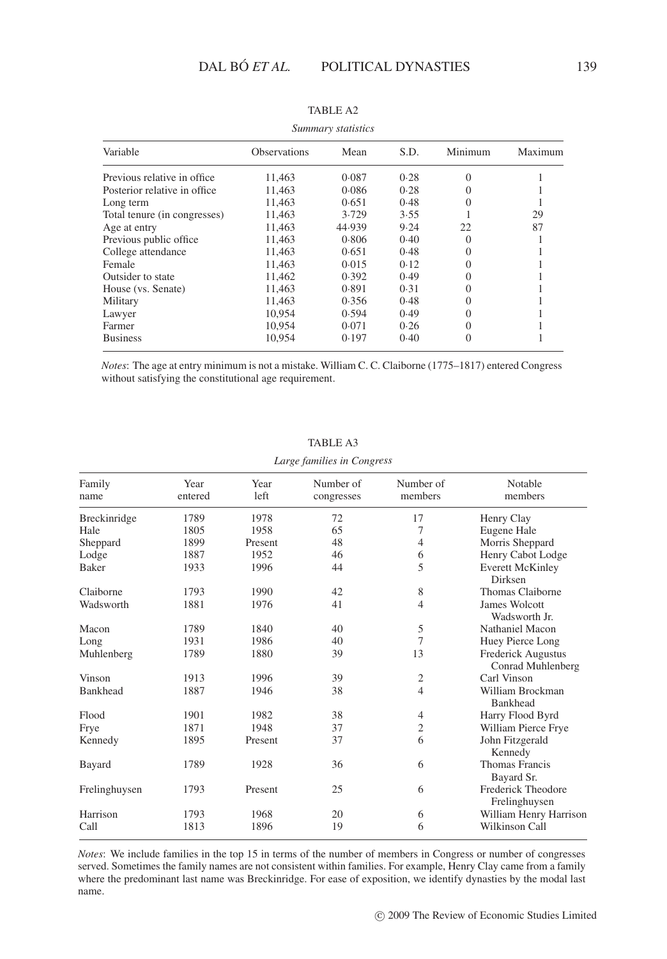| Variable                      | <b>Observations</b> | Mean   | S.D. | Minimum | Maximum |
|-------------------------------|---------------------|--------|------|---------|---------|
| Previous relative in office.  | 11.463              | 0.087  | 0.28 |         |         |
| Posterior relative in office. | 11.463              | 0.086  | 0.28 |         |         |
| Long term                     | 11.463              | 0.651  | 0.48 |         |         |
| Total tenure (in congresses)  | 11.463              | 3.729  | 3.55 |         | 29      |
| Age at entry                  | 11.463              | 44.939 | 9.24 | 22      | 87      |
| Previous public office        | 11,463              | 0.806  | 0.40 |         |         |
| College attendance            | 11,463              | 0.651  | 0.48 |         |         |
| Female                        | 11,463              | 0.015  | 0.12 |         |         |
| Outsider to state             | 11.462              | 0.392  | 0.49 |         |         |
| House (vs. Senate)            | 11.463              | 0.891  | 0.31 |         |         |
| Military                      | 11.463              | 0.356  | 0.48 |         |         |
| Lawyer                        | 10.954              | 0.594  | 0.49 |         |         |
| Farmer                        | 10.954              | 0.071  | 0.26 |         |         |
| <b>Business</b>               | 10,954              | 0.197  | 0.40 |         |         |

TABLE A2 *Summary statistics*

*Notes*: The age at entry minimum is not a mistake. William C. C. Claiborne (1775–1817) entered Congress

without satisfying the constitutional age requirement.

| Family<br>name      | Year<br>entered | Year<br>left | Number of<br>congresses | Number of<br>members | Notable<br>members                      |
|---------------------|-----------------|--------------|-------------------------|----------------------|-----------------------------------------|
| <b>Breckinridge</b> | 1789            | 1978         | 72                      | 17                   | Henry Clay                              |
| Hale                | 1805            | 1958         | 65                      | 7                    | Eugene Hale                             |
| Sheppard            | 1899            | Present      | 48                      | 4                    | Morris Sheppard                         |
| Lodge               | 1887            | 1952         | 46                      | 6                    | Henry Cabot Lodge                       |
| Baker               | 1933            | 1996         | 44                      | 5                    | <b>Everett McKinley</b><br>Dirksen      |
| Claiborne           | 1793            | 1990         | 42                      | 8                    | Thomas Claiborne                        |
| Wadsworth           | 1881            | 1976         | 41                      | 4                    | James Wolcott<br>Wadsworth Jr.          |
| Macon               | 1789            | 1840         | 40                      | 5                    | Nathaniel Macon                         |
| Long                | 1931            | 1986         | 40                      | 7                    | Huey Pierce Long                        |
| Muhlenberg          | 1789            | 1880         | 39                      | 13                   | Frederick Augustus<br>Conrad Muhlenberg |
| Vinson              | 1913            | 1996         | 39                      | 2                    | Carl Vinson                             |
| <b>Bankhead</b>     | 1887            | 1946         | 38                      | 4                    | William Brockman<br><b>Bankhead</b>     |
| Flood               | 1901            | 1982         | 38                      | $\overline{4}$       | Harry Flood Byrd                        |
| Frye                | 1871            | 1948         | 37                      | $\overline{c}$       | William Pierce Frye                     |
| Kennedy             | 1895            | Present      | 37                      | 6                    | John Fitzgerald<br>Kennedy              |
| Bayard              | 1789            | 1928         | 36                      | 6                    | <b>Thomas Francis</b><br>Bayard Sr.     |
| Frelinghuysen       | 1793            | Present      | 25                      | 6                    | Frederick Theodore<br>Frelinghuysen     |
| Harrison            | 1793            | 1968         | 20                      | 6                    | William Henry Harrison                  |
| Call                | 1813            | 1896         | 19                      | 6                    | Wilkinson Call                          |

# TABLE A3

#### *Large families in Congress*

*Notes*: We include families in the top 15 in terms of the number of members in Congress or number of congresses served. Sometimes the family names are not consistent within families. For example, Henry Clay came from a family where the predominant last name was Breckinridge. For ease of exposition, we identify dynasties by the modal last name.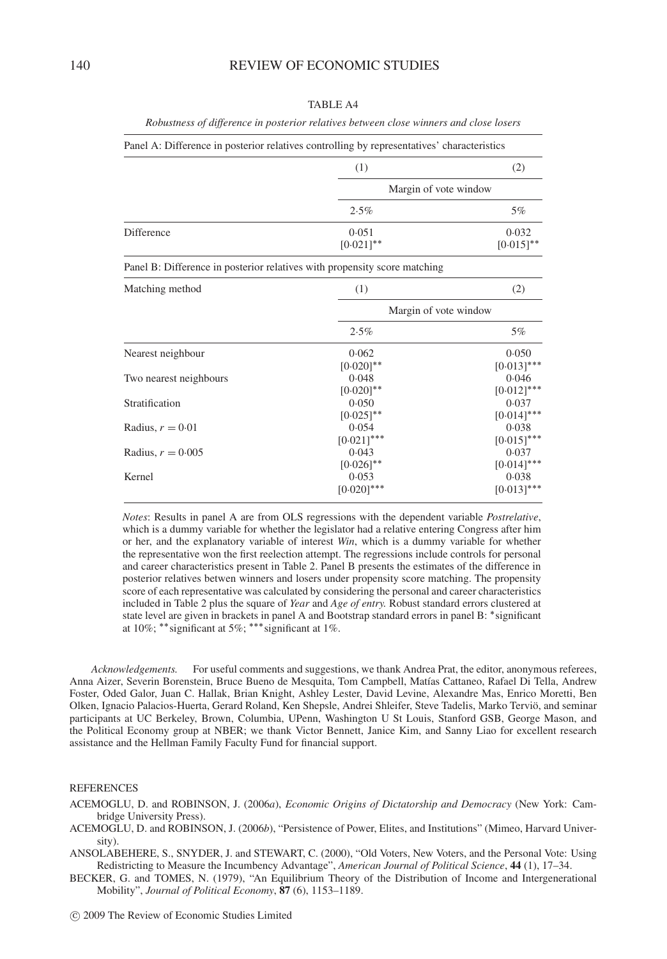|                                                                                            | Robustness of difference in posterior relatives between close winners and close losers |                                                          |  |  |
|--------------------------------------------------------------------------------------------|----------------------------------------------------------------------------------------|----------------------------------------------------------|--|--|
| Panel A: Difference in posterior relatives controlling by representatives' characteristics |                                                                                        |                                                          |  |  |
|                                                                                            | (1)                                                                                    | (2)                                                      |  |  |
|                                                                                            |                                                                                        | Margin of vote window                                    |  |  |
|                                                                                            | 2.5%                                                                                   | 5%                                                       |  |  |
| Difference                                                                                 | 0.051<br>$[0.021]$ **                                                                  | 0.032<br>$[0.015]$ **                                    |  |  |
| Panel B: Difference in posterior relatives with propensity score matching                  |                                                                                        |                                                          |  |  |
| Matching method                                                                            | (1)                                                                                    | (2)                                                      |  |  |
|                                                                                            |                                                                                        | Margin of vote window                                    |  |  |
|                                                                                            | 2.5%                                                                                   | 5%                                                       |  |  |
| Nearest neighbour                                                                          | 0.062<br>$[0.020]$ **                                                                  | 0.050<br>$[0.013]$ ***                                   |  |  |
| Two nearest neighbours                                                                     | 0.048<br>$[0.020]$ **                                                                  | 0.046<br>$[0.012]$ ***                                   |  |  |
| Stratification                                                                             | 0.050<br>$[0.025]$ **                                                                  | 0.037<br>$[0.014]$ ***                                   |  |  |
| Radius, $r = 0.01$                                                                         | 0.054<br>0.038                                                                         |                                                          |  |  |
| Radius, $r = 0.005$                                                                        | 0.043<br>$[0.026]$ **                                                                  | $[0.021]$ ***<br>$[0.015]$ ***<br>0.037<br>$[0.014]$ *** |  |  |
| Kernel                                                                                     | 0.053<br>$[0.020]$ ***                                                                 | 0.038<br>$[0.013]$ ***                                   |  |  |

*Notes*: Results in panel A are from OLS regressions with the dependent variable *Postrelative*, which is a dummy variable for whether the legislator had a relative entering Congress after him or her, and the explanatory variable of interest *Win*, which is a dummy variable for whether the representative won the first reelection attempt. The regressions include controls for personal and career characteristics present in Table 2. Panel B presents the estimates of the difference in posterior relatives betwen winners and losers under propensity score matching. The propensity score of each representative was calculated by considering the personal and career characteristics included in Table 2 plus the square of *Year* and *Age of entry.* Robust standard errors clustered at state level are given in brackets in panel A and Bootstrap standard errors in panel B: \*significant at 10%; ∗∗significant at 5%; ∗∗∗significant at 1%.

*Acknowledgements.* For useful comments and suggestions, we thank Andrea Prat, the editor, anonymous referees, Anna Aizer, Severin Borenstein, Bruce Bueno de Mesquita, Tom Campbell, Matías Cattaneo, Rafael Di Tella, Andrew Foster, Oded Galor, Juan C. Hallak, Brian Knight, Ashley Lester, David Levine, Alexandre Mas, Enrico Moretti, Ben Olken, Ignacio Palacios-Huerta, Gerard Roland, Ken Shepsle, Andrei Shleifer, Steve Tadelis, Marko Terviö, and seminar participants at UC Berkeley, Brown, Columbia, UPenn, Washington U St Louis, Stanford GSB, George Mason, and the Political Economy group at NBER; we thank Victor Bennett, Janice Kim, and Sanny Liao for excellent research assistance and the Hellman Family Faculty Fund for financial support.

#### REFERENCES

ACEMOGLU, D. and ROBINSON, J. (2006*a*), *Economic Origins of Dictatorship and Democracy* (New York: Cambridge University Press).

ACEMOGLU, D. and ROBINSON, J. (2006*b*), "Persistence of Power, Elites, and Institutions" (Mimeo, Harvard University).

ANSOLABEHERE, S., SNYDER, J. and STEWART, C. (2000), "Old Voters, New Voters, and the Personal Vote: Using Redistricting to Measure the Incumbency Advantage", *American Journal of Political Science*, **44** (1), 17–34.

BECKER, G. and TOMES, N. (1979), "An Equilibrium Theory of the Distribution of Income and Intergenerational Mobility", *Journal of Political Economy*, **87** (6), 1153–1189.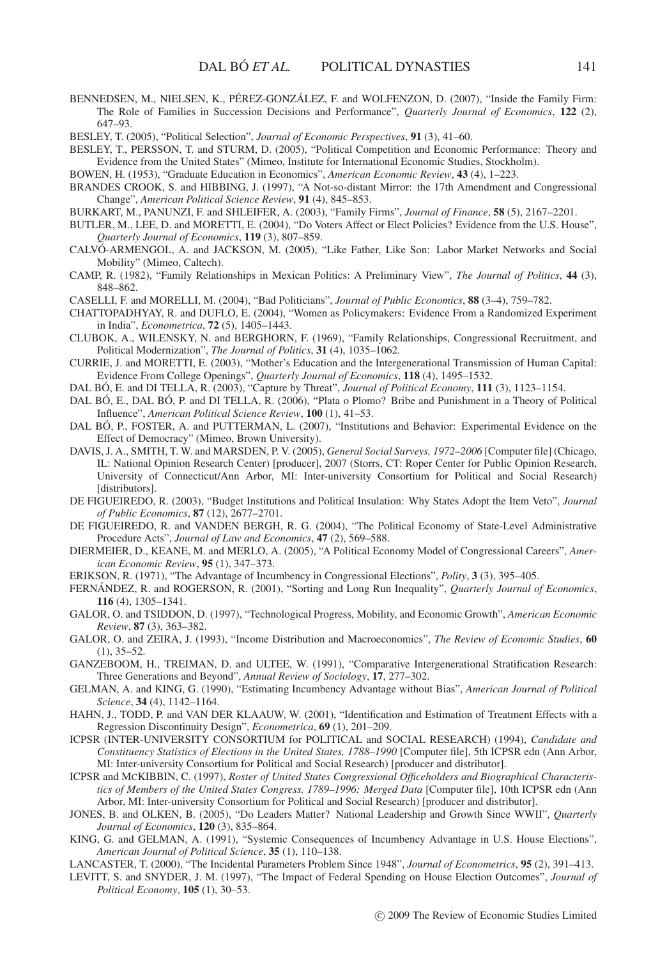- BENNEDSEN, M., NIELSEN, K., PÉREZ-GONZÁLEZ, F. and WOLFENZON, D. (2007), "Inside the Family Firm: The Role of Families in Succession Decisions and Performance", *Quarterly Journal of Economics*, **122** (2), 647–93.
- BESLEY, T. (2005), "Political Selection", *Journal of Economic Perspectives*, **91** (3), 41–60.
- BESLEY, T., PERSSON, T. and STURM, D. (2005), "Political Competition and Economic Performance: Theory and Evidence from the United States" (Mimeo, Institute for International Economic Studies, Stockholm).
- BOWEN, H. (1953), "Graduate Education in Economics", *American Economic Review*, **43** (4), 1–223.
- BRANDES CROOK, S. and HIBBING, J. (1997), "A Not-so-distant Mirror: the 17th Amendment and Congressional Change", *American Political Science Review*, **91** (4), 845–853.
- BURKART, M., PANUNZI, F. and SHLEIFER, A. (2003), "Family Firms", *Journal of Finance*, **58** (5), 2167–2201.
- BUTLER, M., LEE, D. and MORETTI, E. (2004), "Do Voters Affect or Elect Policies? Evidence from the U.S. House", *Quarterly Journal of Economics*, **119** (3), 807–859.
- CALVÓ-ARMENGOL, A. and JACKSON, M. (2005), "Like Father, Like Son: Labor Market Networks and Social Mobility" (Mimeo, Caltech).
- CAMP, R. (1982), "Family Relationships in Mexican Politics: A Preliminary View", *The Journal of Politics*, **44** (3), 848–862.
- CASELLI, F. and MORELLI, M. (2004), "Bad Politicians", *Journal of Public Economics*, **88** (3–4), 759–782.
- CHATTOPADHYAY, R. and DUFLO, E. (2004), "Women as Policymakers: Evidence From a Randomized Experiment in India", *Econometrica*, **72** (5), 1405–1443.
- CLUBOK, A., WILENSKY, N. and BERGHORN, F. (1969), "Family Relationships, Congressional Recruitment, and Political Modernization", *The Journal of Politics*, **31** (4), 1035–1062.
- CURRIE, J. and MORETTI, E. (2003), "Mother's Education and the Intergenerational Transmission of Human Capital: Evidence From College Openings", *Quarterly Journal of Economics*, **118** (4), 1495–1532.
- DAL BÓ, E. and DI TELLA, R. (2003), "Capture by Threat", *Journal of Political Economy*, **111** (3), 1123–1154.
- DAL BÓ, E., DAL BÓ, P. and DI TELLA, R. (2006), "Plata o Plomo? Bribe and Punishment in a Theory of Political Influence", *American Political Science Review*, **100** (1), 41–53.
- DAL BÓ, P., FOSTER, A. and PUTTERMAN, L. (2007), "Institutions and Behavior: Experimental Evidence on the Effect of Democracy" (Mimeo, Brown University).
- DAVIS, J. A., SMITH, T. W. and MARSDEN, P. V. (2005), *General Social Surveys, 1972–2006* [Computer file] (Chicago, IL: National Opinion Research Center) [producer], 2007 (Storrs, CT: Roper Center for Public Opinion Research, University of Connecticut/Ann Arbor, MI: Inter-university Consortium for Political and Social Research) [distributors].
- DE FIGUEIREDO, R. (2003), "Budget Institutions and Political Insulation: Why States Adopt the Item Veto", *Journal of Public Economics*, **87** (12), 2677–2701.
- DE FIGUEIREDO, R. and VANDEN BERGH, R. G. (2004), "The Political Economy of State-Level Administrative Procedure Acts", *Journal of Law and Economics*, **47** (2), 569–588.
- DIERMEIER, D., KEANE, M. and MERLO, A. (2005), "A Political Economy Model of Congressional Careers", *American Economic Review*, **95** (1), 347–373.
- ERIKSON, R. (1971), "The Advantage of Incumbency in Congressional Elections", *Polity*, **3** (3), 395–405.
- FERNÁNDEZ, R. and ROGERSON, R. (2001), "Sorting and Long Run Inequality", *Quarterly Journal of Economics*, **116** (4), 1305–1341.
- GALOR, O. and TSIDDON, D. (1997), "Technological Progress, Mobility, and Economic Growth", *American Economic Review*, **87** (3), 363–382.
- GALOR, O. and ZEIRA, J. (1993), "Income Distribution and Macroeconomics", *The Review of Economic Studies*, **60**  $(1)$ , 35–52.
- GANZEBOOM, H., TREIMAN, D. and ULTEE, W. (1991), "Comparative Intergenerational Stratification Research: Three Generations and Beyond", *Annual Review of Sociology*, **17**, 277–302.
- GELMAN, A. and KING, G. (1990), "Estimating Incumbency Advantage without Bias", *American Journal of Political Science*, **34** (4), 1142–1164.
- HAHN, J., TODD, P. and VAN DER KLAAUW, W. (2001), "Identification and Estimation of Treatment Effects with a Regression Discontinuity Design", *Econometrica*, **69** (1), 201–209.
- ICPSR (INTER-UNIVERSITY CONSORTIUM for POLITICAL and SOCIAL RESEARCH) (1994), *Candidate and Constituency Statistics of Elections in the United States, 1788–1990* [Computer file], 5th ICPSR edn (Ann Arbor, MI: Inter-university Consortium for Political and Social Research) [producer and distributor].
- ICPSR and MCKIBBIN, C. (1997), *Roster of United States Congressional Officeholders and Biographical Characteristics of Members of the United States Congress, 1789–1996: Merged Data* [Computer file], 10th ICPSR edn (Ann Arbor, MI: Inter-university Consortium for Political and Social Research) [producer and distributor].
- JONES, B. and OLKEN, B. (2005), "Do Leaders Matter? National Leadership and Growth Since WWII", *Quarterly Journal of Economics*, **120** (3), 835–864.
- KING, G. and GELMAN, A. (1991), "Systemic Consequences of Incumbency Advantage in U.S. House Elections", *American Journal of Political Science*, **35** (1), 110–138.
- LANCASTER, T. (2000), "The Incidental Parameters Problem Since 1948", *Journal of Econometrics*, **95** (2), 391–413.
- LEVITT, S. and SNYDER, J. M. (1997), "The Impact of Federal Spending on House Election Outcomes", *Journal of Political Economy*, **105** (1), 30–53.